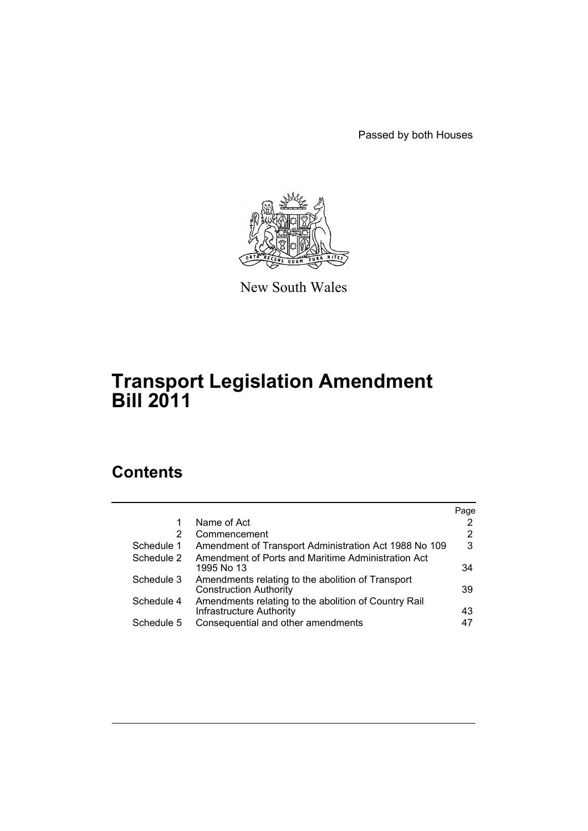Passed by both Houses



New South Wales

# **Transport Legislation Amendment Bill 2011**

# **Contents**

|            |                                                                                    | Page |
|------------|------------------------------------------------------------------------------------|------|
| 1          | Name of Act                                                                        | 2    |
| 2          | Commencement                                                                       | 2    |
| Schedule 1 | Amendment of Transport Administration Act 1988 No 109                              | 3    |
| Schedule 2 | Amendment of Ports and Maritime Administration Act<br>1995 No 13                   | 34   |
| Schedule 3 | Amendments relating to the abolition of Transport<br><b>Construction Authority</b> | 39   |
| Schedule 4 | Amendments relating to the abolition of Country Rail<br>Infrastructure Authority   | 43   |
| Schedule 5 | Consequential and other amendments                                                 | 47   |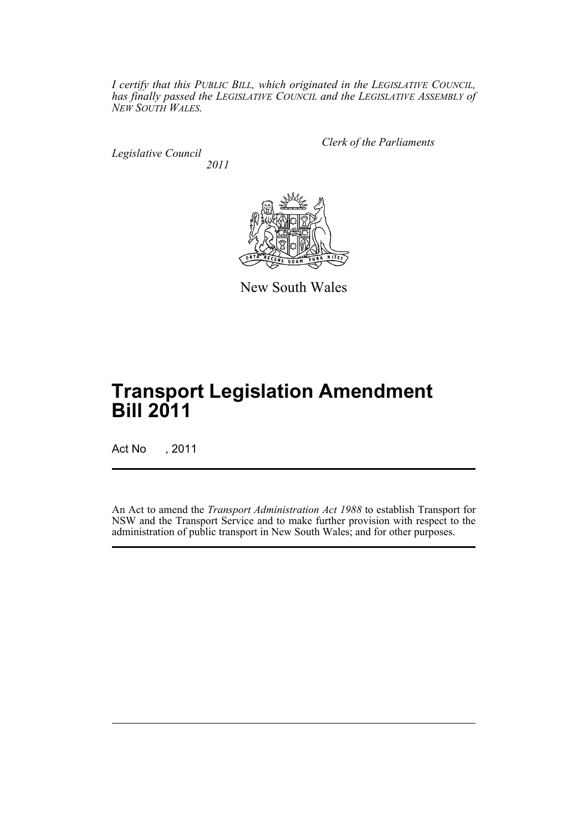*I certify that this PUBLIC BILL, which originated in the LEGISLATIVE COUNCIL, has finally passed the LEGISLATIVE COUNCIL and the LEGISLATIVE ASSEMBLY of NEW SOUTH WALES.*

*Legislative Council 2011* *Clerk of the Parliaments*



New South Wales

# **Transport Legislation Amendment Bill 2011**

Act No , 2011

An Act to amend the *Transport Administration Act 1988* to establish Transport for NSW and the Transport Service and to make further provision with respect to the administration of public transport in New South Wales; and for other purposes.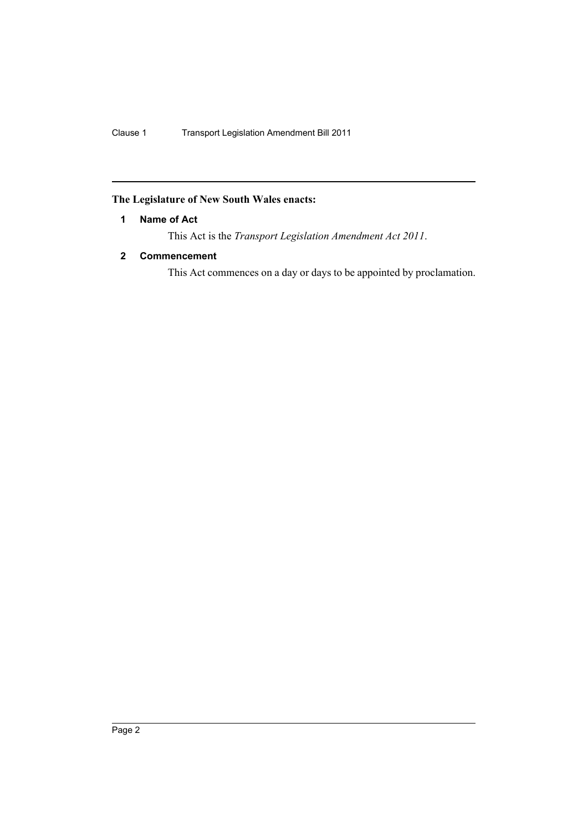## <span id="page-3-0"></span>**The Legislature of New South Wales enacts:**

### **1 Name of Act**

This Act is the *Transport Legislation Amendment Act 2011*.

### <span id="page-3-1"></span>**2 Commencement**

This Act commences on a day or days to be appointed by proclamation.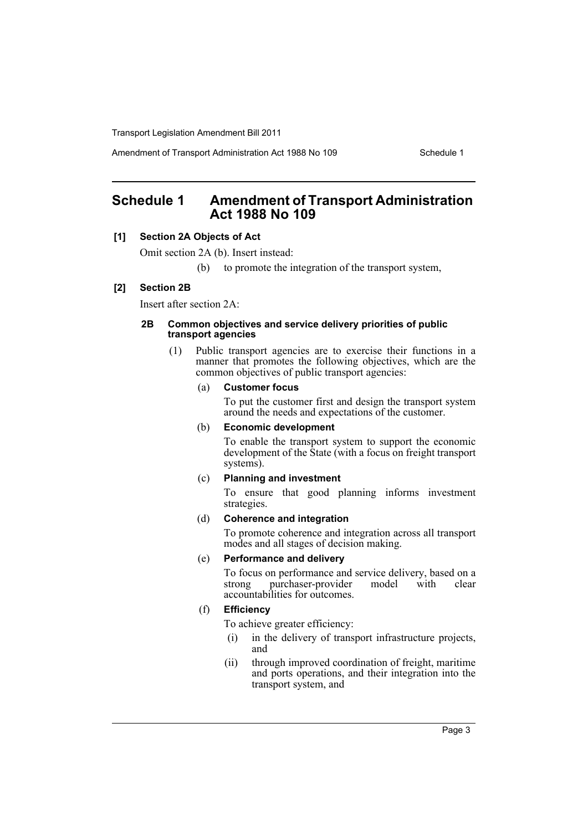Amendment of Transport Administration Act 1988 No 109 Schedule 1

# <span id="page-4-0"></span>**Schedule 1 Amendment of Transport Administration Act 1988 No 109**

### **[1] Section 2A Objects of Act**

Omit section 2A (b). Insert instead:

(b) to promote the integration of the transport system,

### **[2] Section 2B**

Insert after section 2A:

#### **2B Common objectives and service delivery priorities of public transport agencies**

(1) Public transport agencies are to exercise their functions in a manner that promotes the following objectives, which are the common objectives of public transport agencies:

#### (a) **Customer focus**

To put the customer first and design the transport system around the needs and expectations of the customer.

#### (b) **Economic development**

To enable the transport system to support the economic development of the State (with a focus on freight transport systems).

#### (c) **Planning and investment**

To ensure that good planning informs investment strategies.

### (d) **Coherence and integration**

To promote coherence and integration across all transport modes and all stages of decision making.

#### (e) **Performance and delivery**

To focus on performance and service delivery, based on a strong purchaser-provider model with clear accountabilities for outcomes.

### (f) **Efficiency**

To achieve greater efficiency:

- (i) in the delivery of transport infrastructure projects, and
- (ii) through improved coordination of freight, maritime and ports operations, and their integration into the transport system, and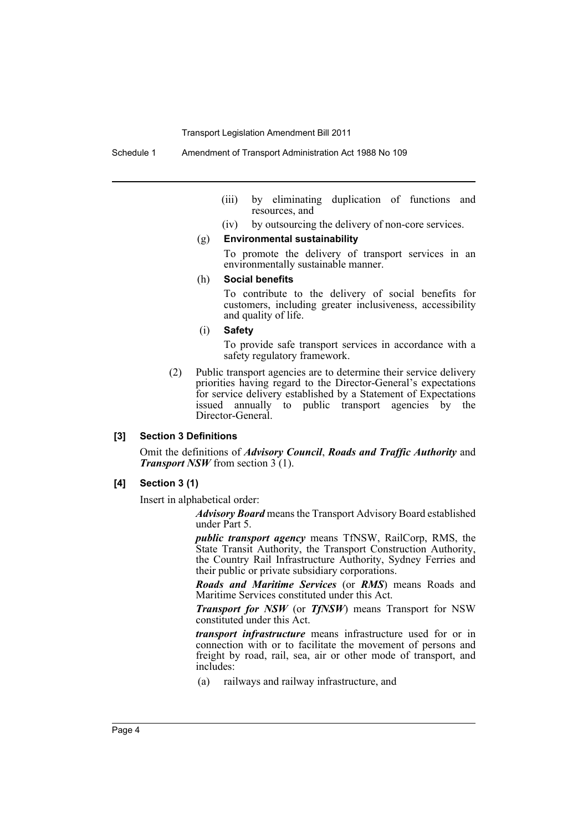- (iii) by eliminating duplication of functions and resources, and
- (iv) by outsourcing the delivery of non-core services.

#### (g) **Environmental sustainability**

To promote the delivery of transport services in an environmentally sustainable manner.

#### (h) **Social benefits**

To contribute to the delivery of social benefits for customers, including greater inclusiveness, accessibility and quality of life.

(i) **Safety**

To provide safe transport services in accordance with a safety regulatory framework.

(2) Public transport agencies are to determine their service delivery priorities having regard to the Director-General's expectations for service delivery established by a Statement of Expectations issued annually to public transport agencies by the Director-General.

#### **[3] Section 3 Definitions**

Omit the definitions of *Advisory Council*, *Roads and Traffic Authority* and *Transport NSW* from section 3 (1).

#### **[4] Section 3 (1)**

Insert in alphabetical order:

*Advisory Board* means the Transport Advisory Board established under Part 5.

*public transport agency* means TfNSW, RailCorp, RMS, the State Transit Authority, the Transport Construction Authority, the Country Rail Infrastructure Authority, Sydney Ferries and their public or private subsidiary corporations.

*Roads and Maritime Services* (or *RMS*) means Roads and Maritime Services constituted under this Act.

*Transport for NSW* (or *TfNSW*) means Transport for NSW constituted under this Act.

*transport infrastructure* means infrastructure used for or in connection with or to facilitate the movement of persons and freight by road, rail, sea, air or other mode of transport, and includes:

(a) railways and railway infrastructure, and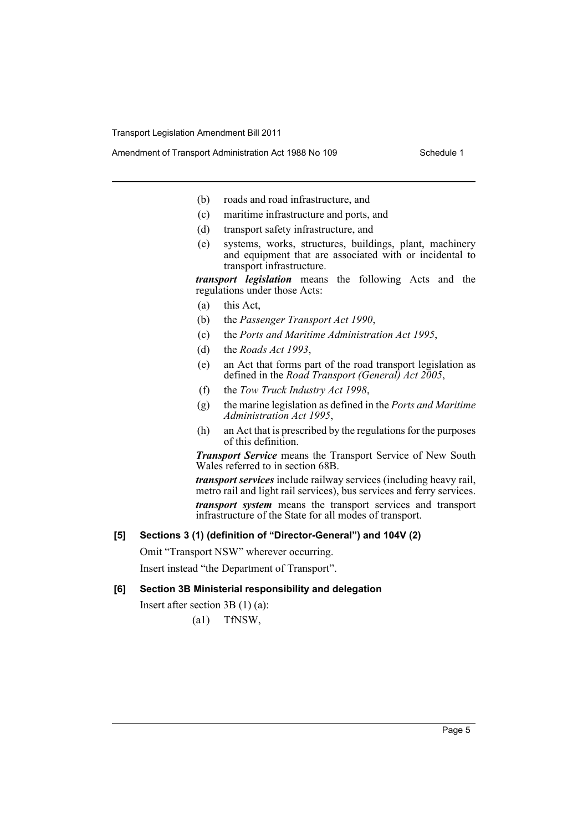- Amendment of Transport Administration Act 1988 No 109 Schedule 1
	- (b) roads and road infrastructure, and
	- (c) maritime infrastructure and ports, and
	- (d) transport safety infrastructure, and
	- (e) systems, works, structures, buildings, plant, machinery and equipment that are associated with or incidental to transport infrastructure.

*transport legislation* means the following Acts and the regulations under those Acts:

- (a) this Act,
- (b) the *Passenger Transport Act 1990*,
- (c) the *Ports and Maritime Administration Act 1995*,
- (d) the *Roads Act 1993*,
- (e) an Act that forms part of the road transport legislation as defined in the *Road Transport (General) Act 2005*,
- (f) the *Tow Truck Industry Act 1998*,
- (g) the marine legislation as defined in the *Ports and Maritime Administration Act 1995*,
- (h) an Act that is prescribed by the regulations for the purposes of this definition.

*Transport Service* means the Transport Service of New South Wales referred to in section 68B.

*transport services* include railway services (including heavy rail, metro rail and light rail services), bus services and ferry services. *transport system* means the transport services and transport infrastructure of the State for all modes of transport.

### **[5] Sections 3 (1) (definition of "Director-General") and 104V (2)**

Omit "Transport NSW" wherever occurring. Insert instead "the Department of Transport".

**[6] Section 3B Ministerial responsibility and delegation**

Insert after section 3B (1) (a):

(a1) TfNSW,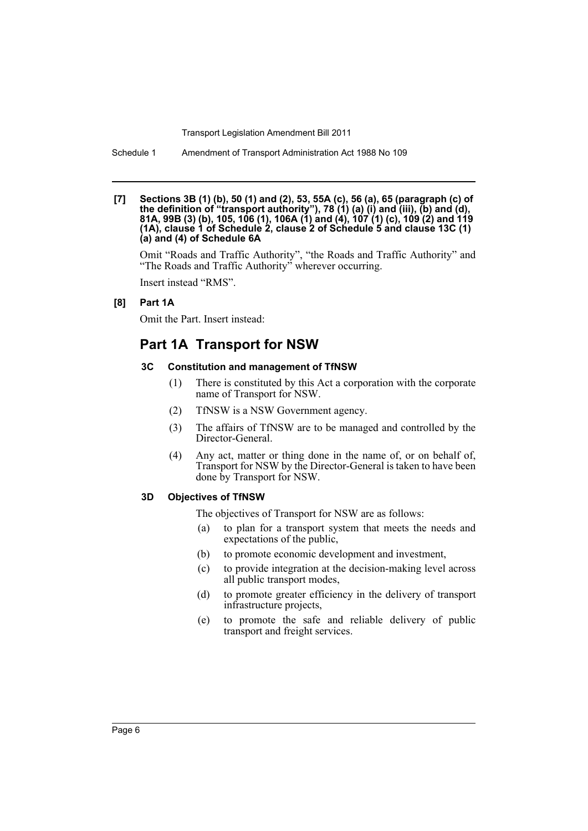Schedule 1 Amendment of Transport Administration Act 1988 No 109

#### **[7] Sections 3B (1) (b), 50 (1) and (2), 53, 55A (c), 56 (a), 65 (paragraph (c) of the definition of "transport authority"), 78 (1) (a) (i) and (iii), (b) and (d), 81A, 99B (3) (b), 105, 106 (1), 106A (1) and (4), 107 (1) (c), 109 (2) and 119 (1A), clause 1 of Schedule 2, clause 2 of Schedule 5 and clause 13C (1) (a) and (4) of Schedule 6A**

Omit "Roads and Traffic Authority", "the Roads and Traffic Authority" and "The Roads and Traffic Authority" wherever occurring.

Insert instead "RMS".

#### **[8] Part 1A**

Omit the Part. Insert instead:

## **Part 1A Transport for NSW**

#### **3C Constitution and management of TfNSW**

- (1) There is constituted by this Act a corporation with the corporate name of Transport for NSW.
- (2) TfNSW is a NSW Government agency.
- (3) The affairs of TfNSW are to be managed and controlled by the Director-General.
- (4) Any act, matter or thing done in the name of, or on behalf of, Transport for NSW by the Director-General is taken to have been done by Transport for NSW.

#### **3D Objectives of TfNSW**

The objectives of Transport for NSW are as follows:

- (a) to plan for a transport system that meets the needs and expectations of the public,
- (b) to promote economic development and investment,
- (c) to provide integration at the decision-making level across all public transport modes,
- (d) to promote greater efficiency in the delivery of transport infrastructure projects,
- (e) to promote the safe and reliable delivery of public transport and freight services.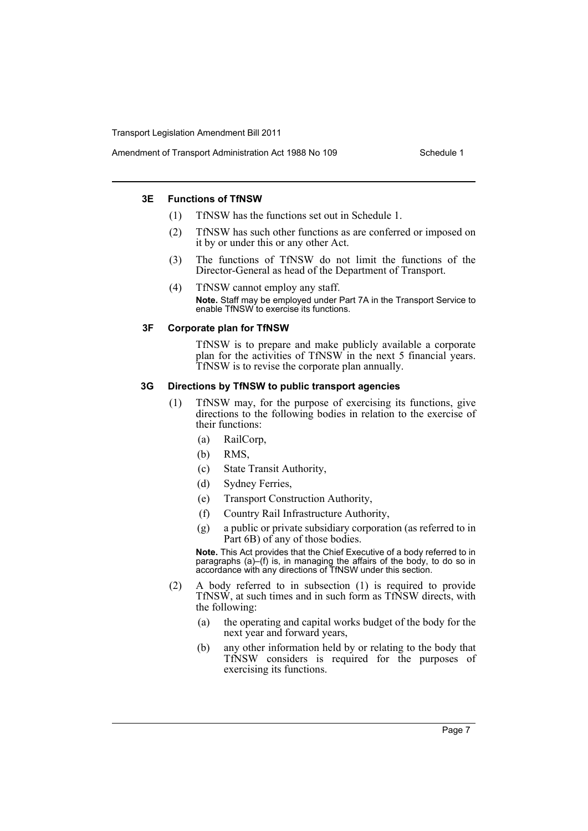#### **3E Functions of TfNSW**

- (1) TfNSW has the functions set out in Schedule 1.
- (2) TfNSW has such other functions as are conferred or imposed on it by or under this or any other Act.
- (3) The functions of TfNSW do not limit the functions of the Director-General as head of the Department of Transport.
- (4) TfNSW cannot employ any staff. **Note.** Staff may be employed under Part 7A in the Transport Service to enable TfNSW to exercise its functions.

#### **3F Corporate plan for TfNSW**

TfNSW is to prepare and make publicly available a corporate plan for the activities of TfNSW in the next 5 financial years. TfNSW is to revise the corporate plan annually.

#### **3G Directions by TfNSW to public transport agencies**

- (1) TfNSW may, for the purpose of exercising its functions, give directions to the following bodies in relation to the exercise of their functions:
	- (a) RailCorp,
	- (b) RMS,
	- (c) State Transit Authority,
	- (d) Sydney Ferries,
	- (e) Transport Construction Authority,
	- (f) Country Rail Infrastructure Authority,
	- (g) a public or private subsidiary corporation (as referred to in Part 6B) of any of those bodies.

**Note.** This Act provides that the Chief Executive of a body referred to in paragraphs (a)–(f) is, in managing the affairs of the body, to do so in accordance with any directions of TfNSW under this section.

- (2) A body referred to in subsection (1) is required to provide TfNSW, at such times and in such form as TfNSW directs, with the following:
	- (a) the operating and capital works budget of the body for the next year and forward years,
	- (b) any other information held by or relating to the body that TfNSW considers is required for the purposes of exercising its functions.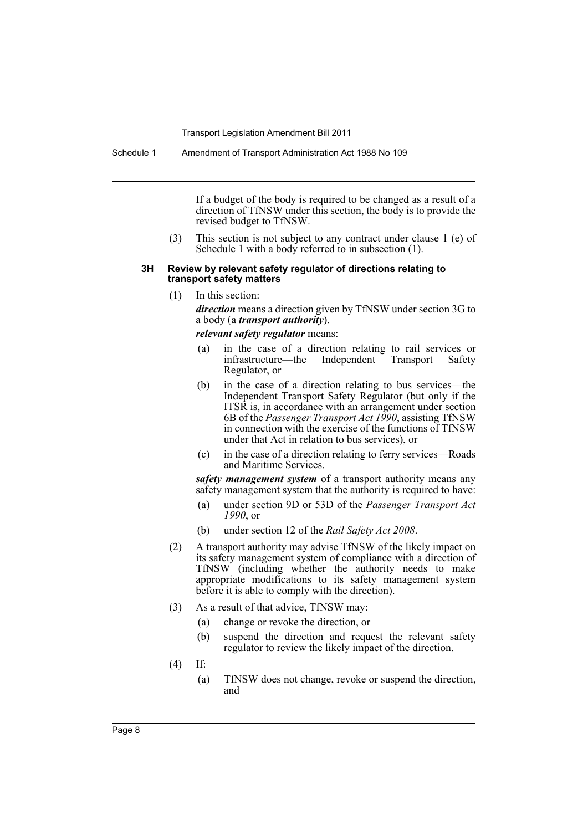Schedule 1 Amendment of Transport Administration Act 1988 No 109

If a budget of the body is required to be changed as a result of a direction of TfNSW under this section, the body is to provide the revised budget to TfNSW.

(3) This section is not subject to any contract under clause 1 (e) of Schedule 1 with a body referred to in subsection (1).

#### **3H Review by relevant safety regulator of directions relating to transport safety matters**

(1) In this section:

*direction* means a direction given by TfNSW under section 3G to a body (a *transport authority*).

*relevant safety regulator* means:

- (a) in the case of a direction relating to rail services or infrastructure—the Independent Transport Safety Regulator, or
- (b) in the case of a direction relating to bus services—the Independent Transport Safety Regulator (but only if the ITSR is, in accordance with an arrangement under section 6B of the *Passenger Transport Act 1990*, assisting TfNSW in connection with the exercise of the functions of TfNSW under that Act in relation to bus services), or
- (c) in the case of a direction relating to ferry services—Roads and Maritime Services.

*safety management system* of a transport authority means any safety management system that the authority is required to have:

- (a) under section 9D or 53D of the *Passenger Transport Act 1990*, or
- (b) under section 12 of the *Rail Safety Act 2008*.
- (2) A transport authority may advise TfNSW of the likely impact on its safety management system of compliance with a direction of TfNSW (including whether the authority needs to make appropriate modifications to its safety management system before it is able to comply with the direction).
- (3) As a result of that advice, TfNSW may:
	- (a) change or revoke the direction, or
	- (b) suspend the direction and request the relevant safety regulator to review the likely impact of the direction.
- (4) If:
	- (a) TfNSW does not change, revoke or suspend the direction, and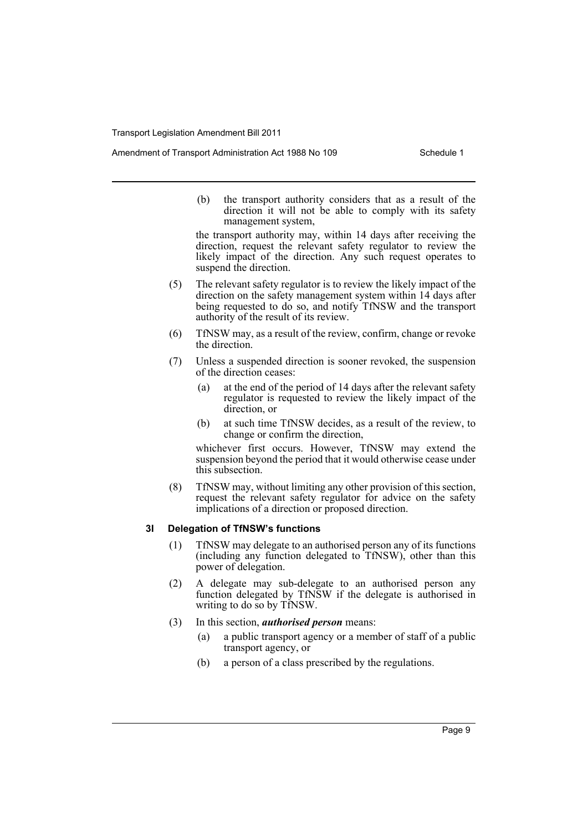(b) the transport authority considers that as a result of the direction it will not be able to comply with its safety management system,

the transport authority may, within 14 days after receiving the direction, request the relevant safety regulator to review the likely impact of the direction. Any such request operates to suspend the direction.

- (5) The relevant safety regulator is to review the likely impact of the direction on the safety management system within 14 days after being requested to do so, and notify TfNSW and the transport authority of the result of its review.
- (6) TfNSW may, as a result of the review, confirm, change or revoke the direction.
- (7) Unless a suspended direction is sooner revoked, the suspension of the direction ceases:
	- (a) at the end of the period of 14 days after the relevant safety regulator is requested to review the likely impact of the direction, or
	- (b) at such time TfNSW decides, as a result of the review, to change or confirm the direction,

whichever first occurs. However, TfNSW may extend the suspension beyond the period that it would otherwise cease under this subsection.

(8) TfNSW may, without limiting any other provision of this section, request the relevant safety regulator for advice on the safety implications of a direction or proposed direction.

#### **3I Delegation of TfNSW's functions**

- (1) TfNSW may delegate to an authorised person any of its functions (including any function delegated to TfNSW), other than this power of delegation.
- (2) A delegate may sub-delegate to an authorised person any function delegated by TfNSW if the delegate is authorised in writing to do so by TfNSW.
- (3) In this section, *authorised person* means:
	- (a) a public transport agency or a member of staff of a public transport agency, or
	- (b) a person of a class prescribed by the regulations.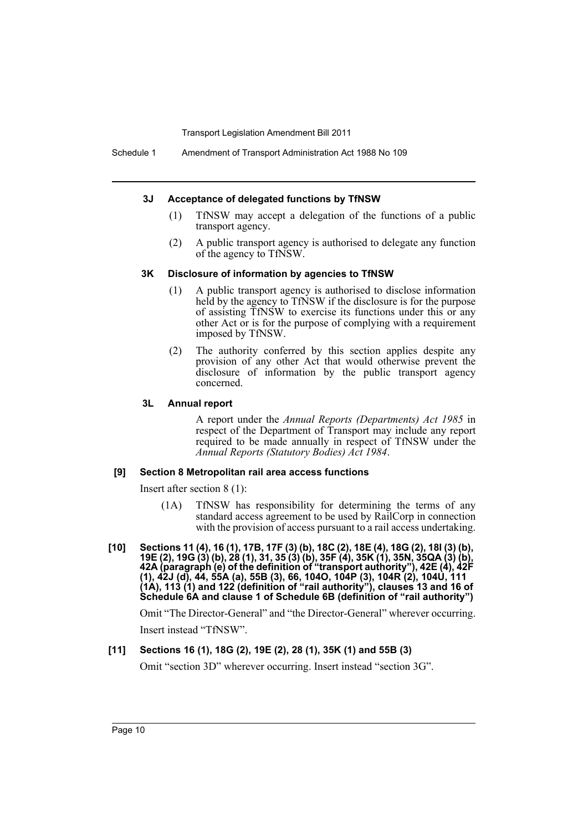#### **3J Acceptance of delegated functions by TfNSW**

- (1) TfNSW may accept a delegation of the functions of a public transport agency.
- (2) A public transport agency is authorised to delegate any function of the agency to TfNSW.

#### **3K Disclosure of information by agencies to TfNSW**

- (1) A public transport agency is authorised to disclose information held by the agency to TfNSW if the disclosure is for the purpose of assisting TfNSW to exercise its functions under this or any other Act or is for the purpose of complying with a requirement imposed by TfNSW.
- (2) The authority conferred by this section applies despite any provision of any other Act that would otherwise prevent the disclosure of information by the public transport agency concerned.

#### **3L Annual report**

A report under the *Annual Reports (Departments) Act 1985* in respect of the Department of Transport may include any report required to be made annually in respect of TfNSW under the *Annual Reports (Statutory Bodies) Act 1984*.

#### **[9] Section 8 Metropolitan rail area access functions**

Insert after section 8 (1):

- (1A) TfNSW has responsibility for determining the terms of any standard access agreement to be used by RailCorp in connection with the provision of access pursuant to a rail access undertaking.
- **[10] Sections 11 (4), 16 (1), 17B, 17F (3) (b), 18C (2), 18E (4), 18G (2), 18I (3) (b), 19E (2), 19G (3) (b), 28 (1), 31, 35 (3) (b), 35F (4), 35K (1), 35N, 35QA (3) (b), 42A (paragraph (e) of the definition of "transport authority"), 42E (4), 42F (1), 42J (d), 44, 55A (a), 55B (3), 66, 104O, 104P (3), 104R (2), 104U, 111 (1A), 113 (1) and 122 (definition of "rail authority"), clauses 13 and 16 of Schedule 6A and clause 1 of Schedule 6B (definition of "rail authority")**

Omit "The Director-General" and "the Director-General" wherever occurring. Insert instead "TfNSW".

#### **[11] Sections 16 (1), 18G (2), 19E (2), 28 (1), 35K (1) and 55B (3)**

Omit "section 3D" wherever occurring. Insert instead "section 3G".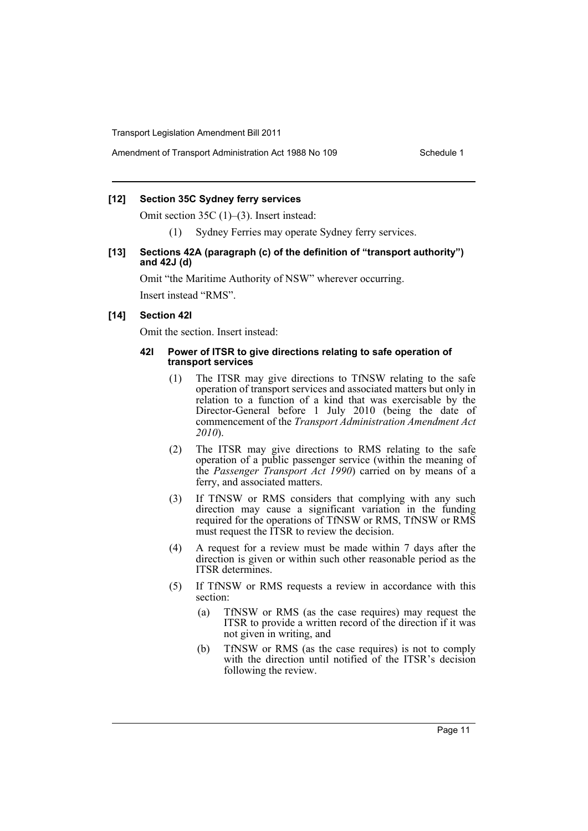### **[12] Section 35C Sydney ferry services**

Omit section 35C (1)–(3). Insert instead:

(1) Sydney Ferries may operate Sydney ferry services.

#### **[13] Sections 42A (paragraph (c) of the definition of "transport authority") and 42J (d)**

Omit "the Maritime Authority of NSW" wherever occurring. Insert instead "RMS".

#### **[14] Section 42I**

Omit the section. Insert instead:

#### **42I Power of ITSR to give directions relating to safe operation of transport services**

- (1) The ITSR may give directions to TfNSW relating to the safe operation of transport services and associated matters but only in relation to a function of a kind that was exercisable by the Director-General before 1 July 2010 (being the date of commencement of the *Transport Administration Amendment Act 2010*).
- (2) The ITSR may give directions to RMS relating to the safe operation of a public passenger service (within the meaning of the *Passenger Transport Act 1990*) carried on by means of a ferry, and associated matters.
- (3) If TfNSW or RMS considers that complying with any such direction may cause a significant variation in the funding required for the operations of TfNSW or RMS, TfNSW or RMS must request the ITSR to review the decision.
- (4) A request for a review must be made within 7 days after the direction is given or within such other reasonable period as the ITSR determines.
- (5) If TfNSW or RMS requests a review in accordance with this section:
	- (a) TfNSW or RMS (as the case requires) may request the ITSR to provide a written record of the direction if it was not given in writing, and
	- (b) TfNSW or RMS (as the case requires) is not to comply with the direction until notified of the ITSR's decision following the review.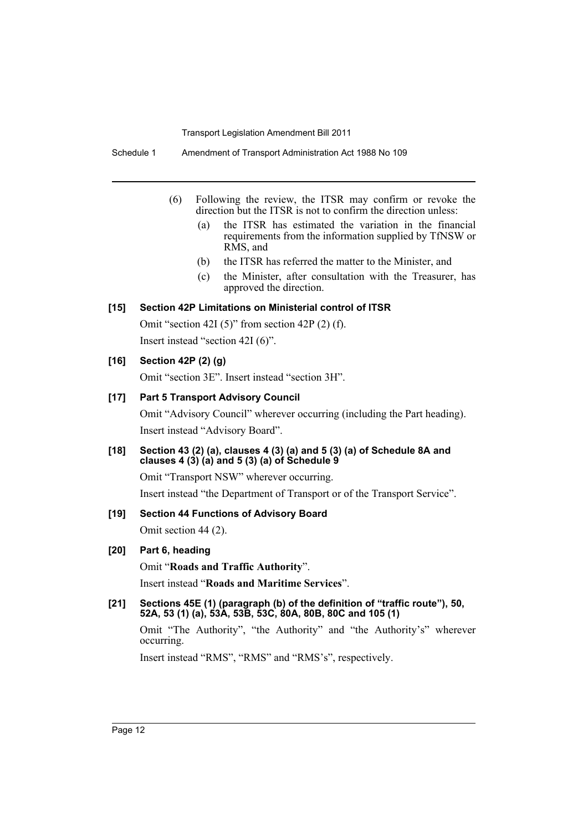Schedule 1 Amendment of Transport Administration Act 1988 No 109

- (6) Following the review, the ITSR may confirm or revoke the direction but the ITSR is not to confirm the direction unless:
	- (a) the ITSR has estimated the variation in the financial requirements from the information supplied by TfNSW or RMS, and
	- (b) the ITSR has referred the matter to the Minister, and
	- (c) the Minister, after consultation with the Treasurer, has approved the direction.

### **[15] Section 42P Limitations on Ministerial control of ITSR**

Omit "section 42I (5)" from section 42P (2) (f). Insert instead "section 42I (6)".

### **[16] Section 42P (2) (g)**

Omit "section 3E". Insert instead "section 3H".

### **[17] Part 5 Transport Advisory Council**

Omit "Advisory Council" wherever occurring (including the Part heading). Insert instead "Advisory Board".

### **[18] Section 43 (2) (a), clauses 4 (3) (a) and 5 (3) (a) of Schedule 8A and clauses 4 (3) (a) and 5 (3) (a) of Schedule 9**

Omit "Transport NSW" wherever occurring.

Insert instead "the Department of Transport or of the Transport Service".

### **[19] Section 44 Functions of Advisory Board**

Omit section 44 (2).

#### **[20] Part 6, heading**

Omit "**Roads and Traffic Authority**".

Insert instead "**Roads and Maritime Services**".

#### **[21] Sections 45E (1) (paragraph (b) of the definition of "traffic route"), 50, 52A, 53 (1) (a), 53A, 53B, 53C, 80A, 80B, 80C and 105 (1)**

Omit "The Authority", "the Authority" and "the Authority's" wherever occurring.

Insert instead "RMS", "RMS" and "RMS's", respectively.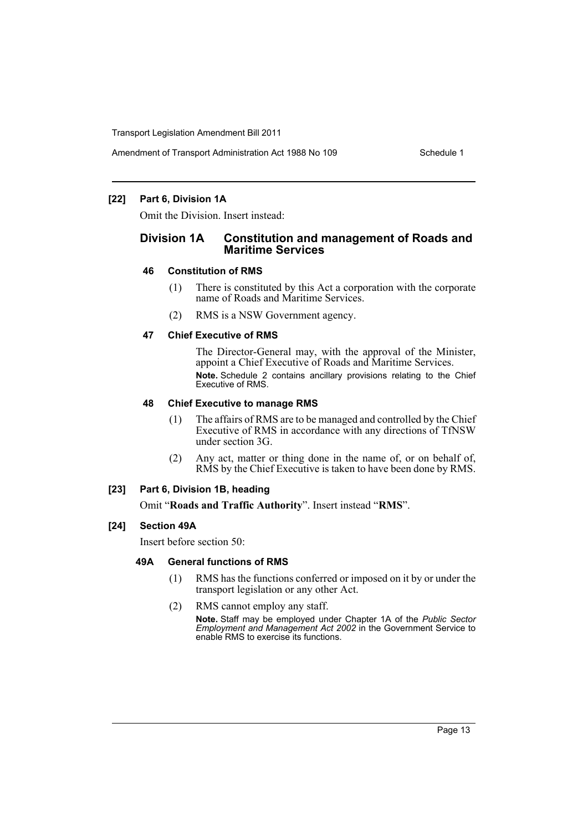### **[22] Part 6, Division 1A**

Omit the Division. Insert instead:

### **Division 1A Constitution and management of Roads and Maritime Services**

### **46 Constitution of RMS**

- (1) There is constituted by this Act a corporation with the corporate name of Roads and Maritime Services.
- (2) RMS is a NSW Government agency.

### **47 Chief Executive of RMS**

The Director-General may, with the approval of the Minister, appoint a Chief Executive of Roads and Maritime Services. **Note.** Schedule 2 contains ancillary provisions relating to the Chief Executive of RMS.

### **48 Chief Executive to manage RMS**

- (1) The affairs of RMS are to be managed and controlled by the Chief Executive of RMS in accordance with any directions of TfNSW under section 3G.
- (2) Any act, matter or thing done in the name of, or on behalf of, RMS by the Chief Executive is taken to have been done by RMS.

### **[23] Part 6, Division 1B, heading**

Omit "**Roads and Traffic Authority**". Insert instead "**RMS**".

### **[24] Section 49A**

Insert before section 50:

### **49A General functions of RMS**

- (1) RMS has the functions conferred or imposed on it by or under the transport legislation or any other Act.
- (2) RMS cannot employ any staff.

**Note.** Staff may be employed under Chapter 1A of the *Public Sector Employment and Management Act 2002* in the Government Service to enable RMS to exercise its functions.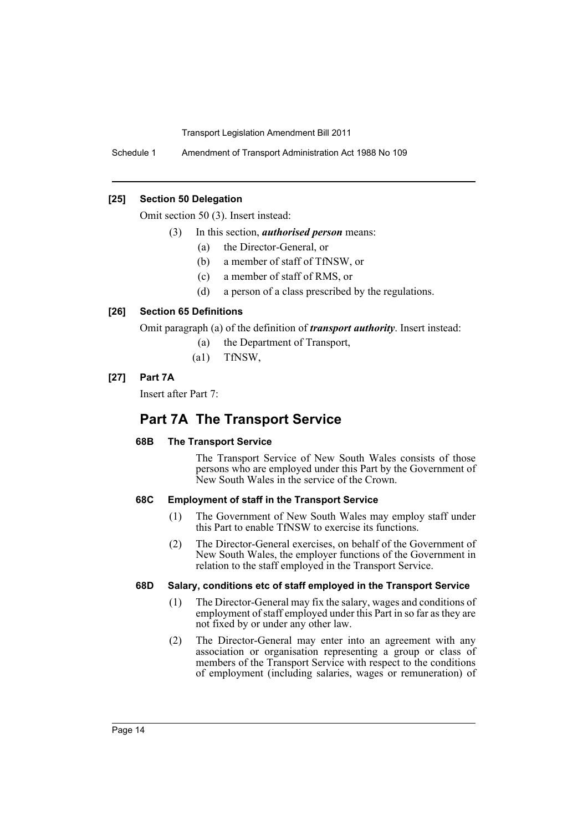Schedule 1 Amendment of Transport Administration Act 1988 No 109

### **[25] Section 50 Delegation**

Omit section 50 (3). Insert instead:

- (3) In this section, *authorised person* means:
	- (a) the Director-General, or
	- (b) a member of staff of TfNSW, or
	- (c) a member of staff of RMS, or
	- (d) a person of a class prescribed by the regulations.

### **[26] Section 65 Definitions**

Omit paragraph (a) of the definition of *transport authority*. Insert instead:

- (a) the Department of Transport,
- (a1) TfNSW,

### **[27] Part 7A**

Insert after Part 7:

# **Part 7A The Transport Service**

### **68B The Transport Service**

The Transport Service of New South Wales consists of those persons who are employed under this Part by the Government of New South Wales in the service of the Crown.

### **68C Employment of staff in the Transport Service**

- (1) The Government of New South Wales may employ staff under this Part to enable TfNSW to exercise its functions.
- (2) The Director-General exercises, on behalf of the Government of New South Wales, the employer functions of the Government in relation to the staff employed in the Transport Service.

### **68D Salary, conditions etc of staff employed in the Transport Service**

- (1) The Director-General may fix the salary, wages and conditions of employment of staff employed under this Part in so far as they are not fixed by or under any other law.
- (2) The Director-General may enter into an agreement with any association or organisation representing a group or class of members of the Transport Service with respect to the conditions of employment (including salaries, wages or remuneration) of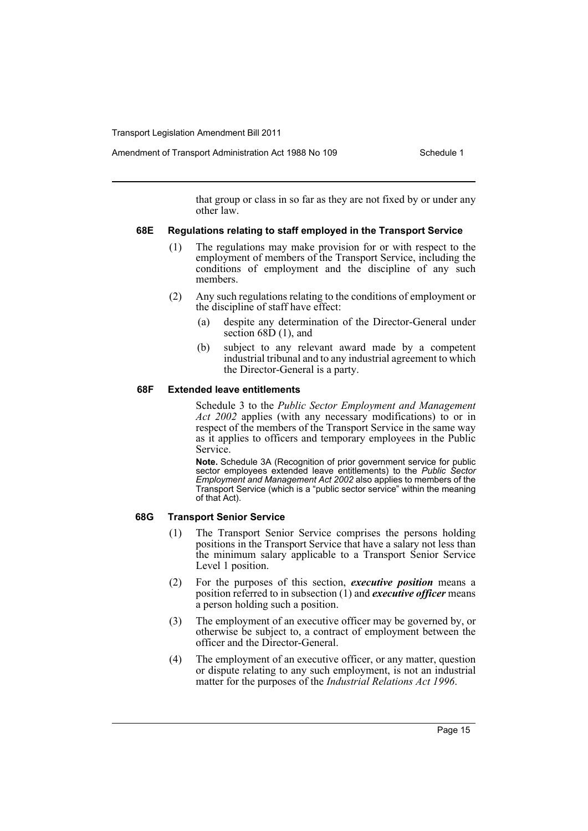Amendment of Transport Administration Act 1988 No 109 Schedule 1

that group or class in so far as they are not fixed by or under any other law.

### **68E Regulations relating to staff employed in the Transport Service**

- (1) The regulations may make provision for or with respect to the employment of members of the Transport Service, including the conditions of employment and the discipline of any such members.
- (2) Any such regulations relating to the conditions of employment or the discipline of staff have effect:
	- (a) despite any determination of the Director-General under section 68D (1), and
	- (b) subject to any relevant award made by a competent industrial tribunal and to any industrial agreement to which the Director-General is a party.

### **68F Extended leave entitlements**

Schedule 3 to the *Public Sector Employment and Management Act 2002* applies (with any necessary modifications) to or in respect of the members of the Transport Service in the same way as it applies to officers and temporary employees in the Public Service.

**Note.** Schedule 3A (Recognition of prior government service for public sector employees extended leave entitlements) to the *Public Sector Employment and Management Act 2002* also applies to members of the Transport Service (which is a "public sector service" within the meaning of that Act).

### **68G Transport Senior Service**

- (1) The Transport Senior Service comprises the persons holding positions in the Transport Service that have a salary not less than the minimum salary applicable to a Transport Senior Service Level 1 position.
- (2) For the purposes of this section, *executive position* means a position referred to in subsection (1) and *executive officer* means a person holding such a position.
- (3) The employment of an executive officer may be governed by, or otherwise be subject to, a contract of employment between the officer and the Director-General.
- (4) The employment of an executive officer, or any matter, question or dispute relating to any such employment, is not an industrial matter for the purposes of the *Industrial Relations Act 1996*.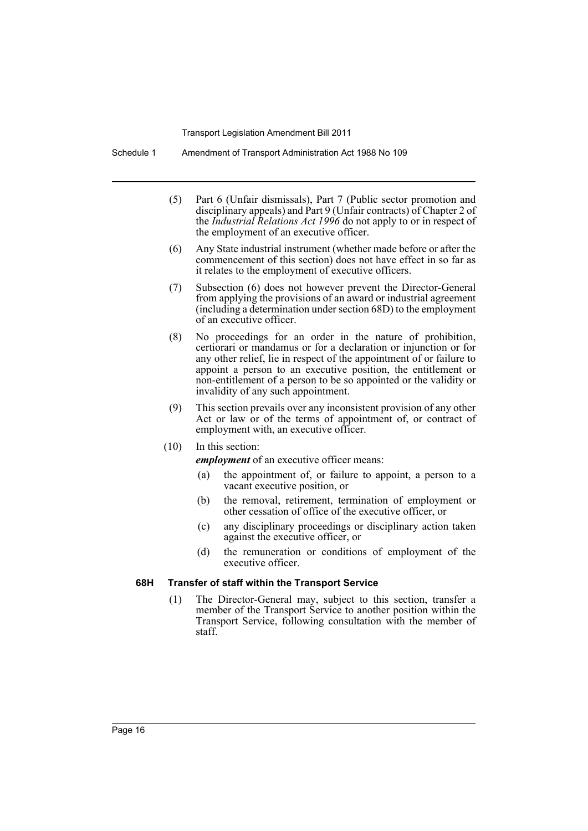Schedule 1 Amendment of Transport Administration Act 1988 No 109

- (5) Part 6 (Unfair dismissals), Part 7 (Public sector promotion and disciplinary appeals) and Part 9 (Unfair contracts) of Chapter 2 of the *Industrial Relations Act 1996* do not apply to or in respect of the employment of an executive officer.
- (6) Any State industrial instrument (whether made before or after the commencement of this section) does not have effect in so far as it relates to the employment of executive officers.
- (7) Subsection (6) does not however prevent the Director-General from applying the provisions of an award or industrial agreement (including a determination under section 68D) to the employment of an executive officer.
- (8) No proceedings for an order in the nature of prohibition, certiorari or mandamus or for a declaration or injunction or for any other relief, lie in respect of the appointment of or failure to appoint a person to an executive position, the entitlement or non-entitlement of a person to be so appointed or the validity or invalidity of any such appointment.
- (9) This section prevails over any inconsistent provision of any other Act or law or of the terms of appointment of, or contract of employment with, an executive officer.
- (10) In this section:

*employment* of an executive officer means:

- (a) the appointment of, or failure to appoint, a person to a vacant executive position, or
- (b) the removal, retirement, termination of employment or other cessation of office of the executive officer, or
- (c) any disciplinary proceedings or disciplinary action taken against the executive officer, or
- (d) the remuneration or conditions of employment of the executive officer.

### **68H Transfer of staff within the Transport Service**

(1) The Director-General may, subject to this section, transfer a member of the Transport Service to another position within the Transport Service, following consultation with the member of staff.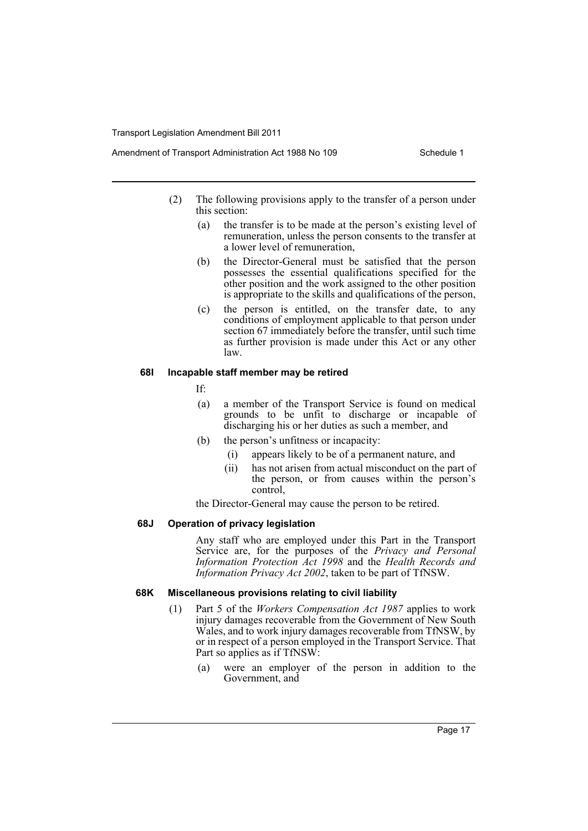- (2) The following provisions apply to the transfer of a person under this section:
	- (a) the transfer is to be made at the person's existing level of remuneration, unless the person consents to the transfer at a lower level of remuneration,
	- (b) the Director-General must be satisfied that the person possesses the essential qualifications specified for the other position and the work assigned to the other position is appropriate to the skills and qualifications of the person,
	- (c) the person is entitled, on the transfer date, to any conditions of employment applicable to that person under section 67 immediately before the transfer, until such time as further provision is made under this Act or any other law.

### **68I Incapable staff member may be retired**

If:

- (a) a member of the Transport Service is found on medical grounds to be unfit to discharge or incapable of discharging his or her duties as such a member, and
- (b) the person's unfitness or incapacity:
	- (i) appears likely to be of a permanent nature, and
	- (ii) has not arisen from actual misconduct on the part of the person, or from causes within the person's control,

the Director-General may cause the person to be retired.

### **68J Operation of privacy legislation**

Any staff who are employed under this Part in the Transport Service are, for the purposes of the *Privacy and Personal Information Protection Act 1998* and the *Health Records and Information Privacy Act 2002*, taken to be part of TfNSW.

### **68K Miscellaneous provisions relating to civil liability**

- (1) Part 5 of the *Workers Compensation Act 1987* applies to work injury damages recoverable from the Government of New South Wales, and to work injury damages recoverable from TfNSW, by or in respect of a person employed in the Transport Service. That Part so applies as if TfNSW:
	- (a) were an employer of the person in addition to the Government, and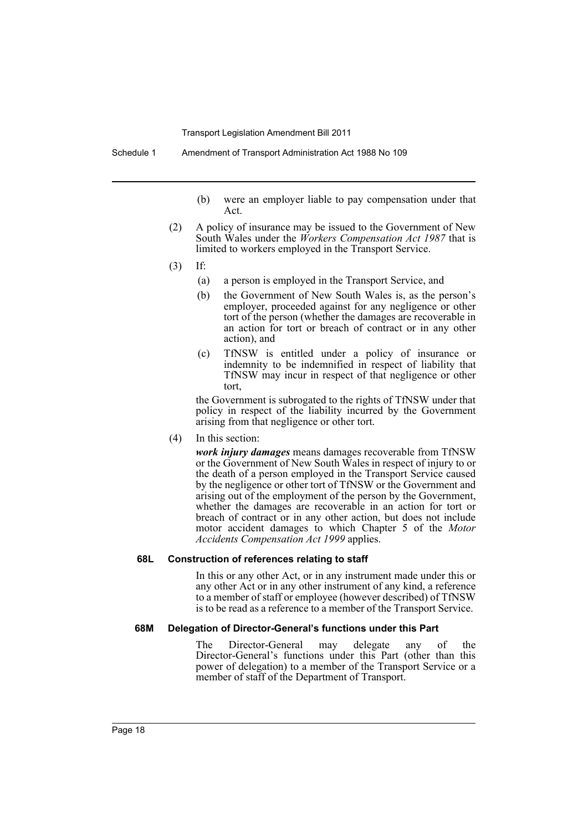- (b) were an employer liable to pay compensation under that Act.
- (2) A policy of insurance may be issued to the Government of New South Wales under the *Workers Compensation Act 1987* that is limited to workers employed in the Transport Service.
- (3) If:
	- (a) a person is employed in the Transport Service, and
	- (b) the Government of New South Wales is, as the person's employer, proceeded against for any negligence or other tort of the person (whether the damages are recoverable in an action for tort or breach of contract or in any other action), and
	- (c) TfNSW is entitled under a policy of insurance or indemnity to be indemnified in respect of liability that TfNSW may incur in respect of that negligence or other tort,

the Government is subrogated to the rights of TfNSW under that policy in respect of the liability incurred by the Government arising from that negligence or other tort.

(4) In this section:

*work injury damages* means damages recoverable from TfNSW or the Government of New South Wales in respect of injury to or the death of a person employed in the Transport Service caused by the negligence or other tort of TfNSW or the Government and arising out of the employment of the person by the Government, whether the damages are recoverable in an action for tort or breach of contract or in any other action, but does not include motor accident damages to which Chapter 5 of the *Motor Accidents Compensation Act 1999* applies.

#### **68L Construction of references relating to staff**

In this or any other Act, or in any instrument made under this or any other Act or in any other instrument of any kind, a reference to a member of staff or employee (however described) of TfNSW is to be read as a reference to a member of the Transport Service.

#### **68M Delegation of Director-General's functions under this Part**

The Director-General may delegate any of the Director-General's functions under this Part (other than this power of delegation) to a member of the Transport Service or a member of staff of the Department of Transport.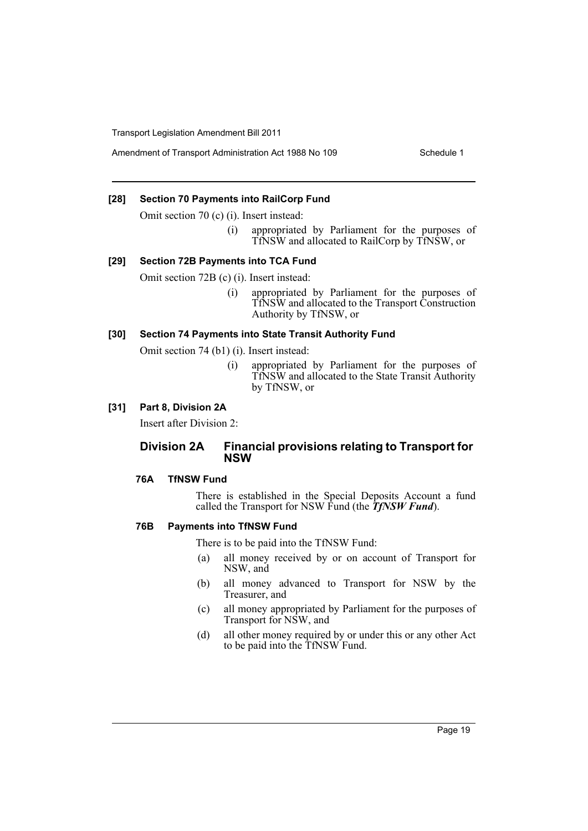Amendment of Transport Administration Act 1988 No 109 Schedule 1

### **[28] Section 70 Payments into RailCorp Fund**

Omit section 70 (c) (i). Insert instead:

(i) appropriated by Parliament for the purposes of TfNSW and allocated to RailCorp by TfNSW, or

#### **[29] Section 72B Payments into TCA Fund**

Omit section 72B (c) (i). Insert instead:

(i) appropriated by Parliament for the purposes of TfNSW and allocated to the Transport Construction Authority by TfNSW, or

#### **[30] Section 74 Payments into State Transit Authority Fund**

Omit section 74 (b1) (i). Insert instead:

(i) appropriated by Parliament for the purposes of TfNSW and allocated to the State Transit Authority by TfNSW, or

#### **[31] Part 8, Division 2A**

Insert after Division 2:

### **Division 2A Financial provisions relating to Transport for NSW**

#### **76A TfNSW Fund**

There is established in the Special Deposits Account a fund called the Transport for NSW Fund (the *TfNSW Fund*).

#### **76B Payments into TfNSW Fund**

There is to be paid into the TfNSW Fund:

- (a) all money received by or on account of Transport for NSW, and
- (b) all money advanced to Transport for NSW by the Treasurer, and
- (c) all money appropriated by Parliament for the purposes of Transport for NSW, and
- (d) all other money required by or under this or any other Act to be paid into the TfNSW Fund.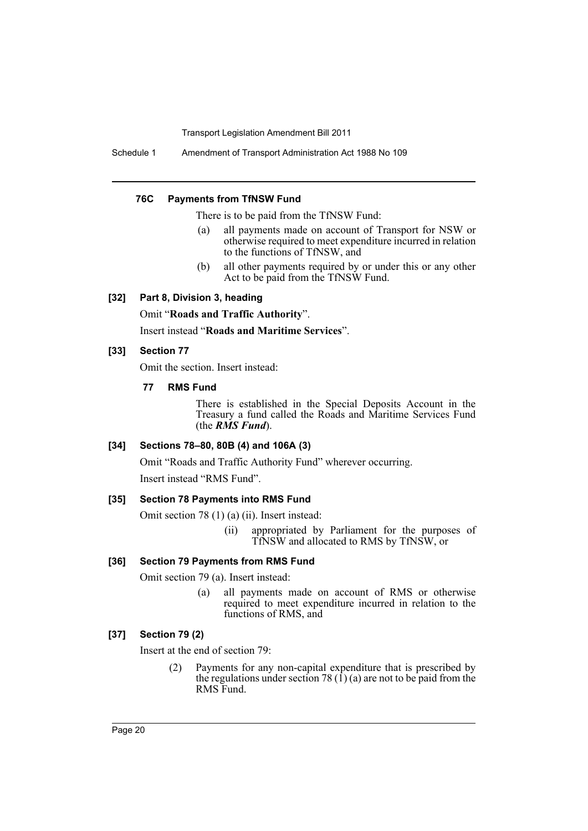Schedule 1 Amendment of Transport Administration Act 1988 No 109

#### **76C Payments from TfNSW Fund**

There is to be paid from the TfNSW Fund:

- (a) all payments made on account of Transport for NSW or otherwise required to meet expenditure incurred in relation to the functions of TfNSW, and
- (b) all other payments required by or under this or any other Act to be paid from the TfNSW Fund.

### **[32] Part 8, Division 3, heading**

Omit "**Roads and Traffic Authority**".

Insert instead "**Roads and Maritime Services**".

#### **[33] Section 77**

Omit the section. Insert instead:

### **77 RMS Fund**

There is established in the Special Deposits Account in the Treasury a fund called the Roads and Maritime Services Fund (the *RMS Fund*).

#### **[34] Sections 78–80, 80B (4) and 106A (3)**

Omit "Roads and Traffic Authority Fund" wherever occurring.

Insert instead "RMS Fund".

### **[35] Section 78 Payments into RMS Fund**

Omit section 78 (1) (a) (ii). Insert instead:

(ii) appropriated by Parliament for the purposes of TfNSW and allocated to RMS by TfNSW, or

#### **[36] Section 79 Payments from RMS Fund**

Omit section 79 (a). Insert instead:

(a) all payments made on account of RMS or otherwise required to meet expenditure incurred in relation to the functions of RMS, and

### **[37] Section 79 (2)**

Insert at the end of section 79:

(2) Payments for any non-capital expenditure that is prescribed by the regulations under section 78  $(1)$  (a) are not to be paid from the RMS Fund.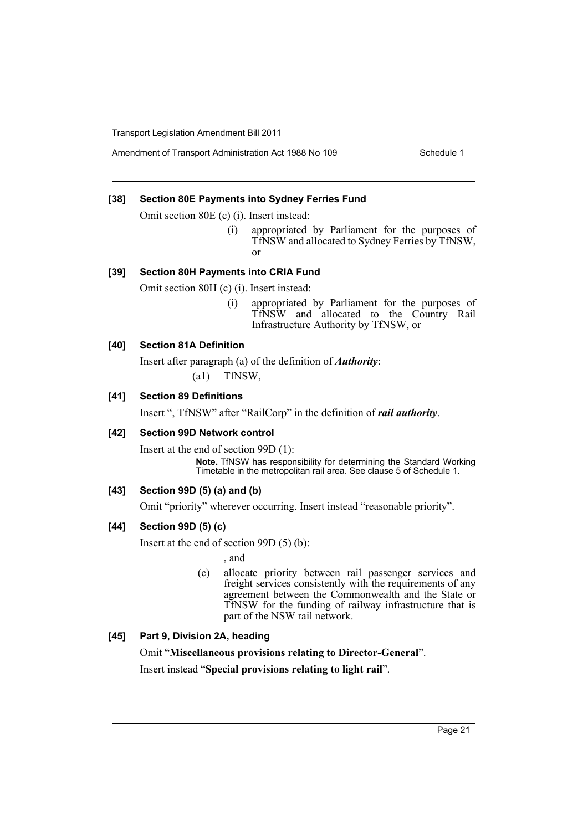#### **[38] Section 80E Payments into Sydney Ferries Fund**

Omit section 80E (c) (i). Insert instead:

(i) appropriated by Parliament for the purposes of TfNSW and allocated to Sydney Ferries by TfNSW, or

#### **[39] Section 80H Payments into CRIA Fund**

Omit section 80H (c) (i). Insert instead:

(i) appropriated by Parliament for the purposes of TfNSW and allocated to the Country Rail Infrastructure Authority by TfNSW, or

### **[40] Section 81A Definition**

Insert after paragraph (a) of the definition of *Authority*: (a1) TfNSW,

#### **[41] Section 89 Definitions**

Insert ", TfNSW" after "RailCorp" in the definition of *rail authority*.

#### **[42] Section 99D Network control**

Insert at the end of section 99D (1): **Note.** TfNSW has responsibility for determining the Standard Working Timetable in the metropolitan rail area. See clause 5 of Schedule 1.

### **[43] Section 99D (5) (a) and (b)**

Omit "priority" wherever occurring. Insert instead "reasonable priority".

### **[44] Section 99D (5) (c)**

Insert at the end of section 99D (5) (b):

, and

(c) allocate priority between rail passenger services and freight services consistently with the requirements of any agreement between the Commonwealth and the State or TfNSW for the funding of railway infrastructure that is part of the NSW rail network.

### **[45] Part 9, Division 2A, heading**

Omit "**Miscellaneous provisions relating to Director-General**". Insert instead "**Special provisions relating to light rail**".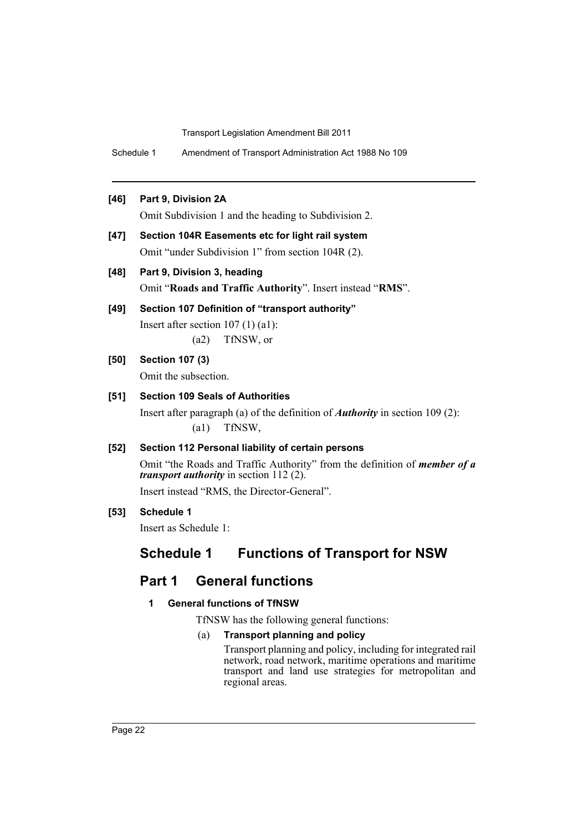Schedule 1 Amendment of Transport Administration Act 1988 No 109

### **[46] Part 9, Division 2A**

Omit Subdivision 1 and the heading to Subdivision 2.

- **[47] Section 104R Easements etc for light rail system** Omit "under Subdivision 1" from section 104R (2).
- **[48] Part 9, Division 3, heading** Omit "**Roads and Traffic Authority**". Insert instead "**RMS**".
- **[49] Section 107 Definition of "transport authority"**

Insert after section 107 (1) (a1): (a2) TfNSW, or

### **[50] Section 107 (3)**

Omit the subsection.

### **[51] Section 109 Seals of Authorities**

Insert after paragraph (a) of the definition of *Authority* in section 109 (2): (a1) TfNSW,

### **[52] Section 112 Personal liability of certain persons**

Omit "the Roads and Traffic Authority" from the definition of *member of a transport authority* in section 112 (2).

Insert instead "RMS, the Director-General".

### **[53] Schedule 1**

Insert as Schedule 1:

# **Schedule 1 Functions of Transport for NSW**

# **Part 1 General functions**

### **1 General functions of TfNSW**

TfNSW has the following general functions:

### (a) **Transport planning and policy**

Transport planning and policy, including for integrated rail network, road network, maritime operations and maritime transport and land use strategies for metropolitan and regional areas.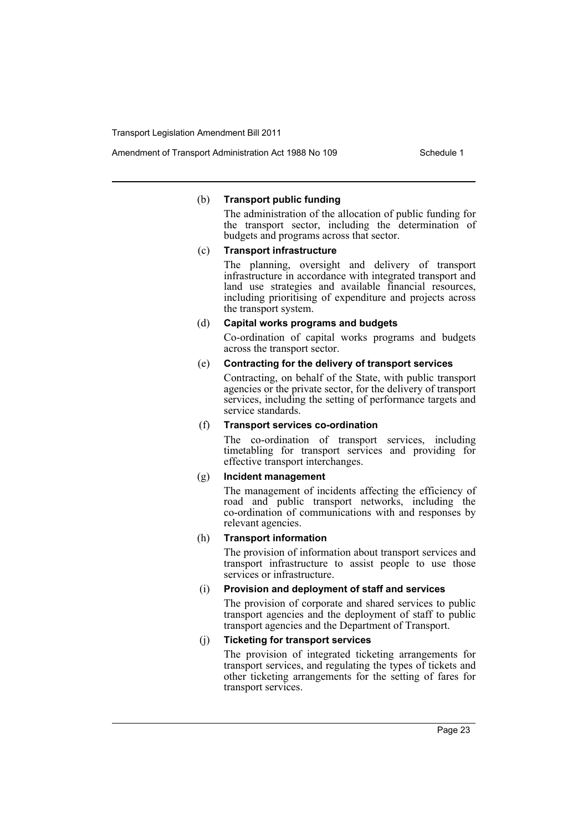#### (b) **Transport public funding**

The administration of the allocation of public funding for the transport sector, including the determination of budgets and programs across that sector.

#### (c) **Transport infrastructure**

The planning, oversight and delivery of transport infrastructure in accordance with integrated transport and land use strategies and available financial resources, including prioritising of expenditure and projects across the transport system.

#### (d) **Capital works programs and budgets**

Co-ordination of capital works programs and budgets across the transport sector.

### (e) **Contracting for the delivery of transport services**

Contracting, on behalf of the State, with public transport agencies or the private sector, for the delivery of transport services, including the setting of performance targets and service standards.

### (f) **Transport services co-ordination**

The co-ordination of transport services, including timetabling for transport services and providing for effective transport interchanges.

#### (g) **Incident management**

The management of incidents affecting the efficiency of road and public transport networks, including the co-ordination of communications with and responses by relevant agencies.

#### (h) **Transport information**

The provision of information about transport services and transport infrastructure to assist people to use those services or infrastructure.

### (i) **Provision and deployment of staff and services**

The provision of corporate and shared services to public transport agencies and the deployment of staff to public transport agencies and the Department of Transport.

### (j) **Ticketing for transport services**

The provision of integrated ticketing arrangements for transport services, and regulating the types of tickets and other ticketing arrangements for the setting of fares for transport services.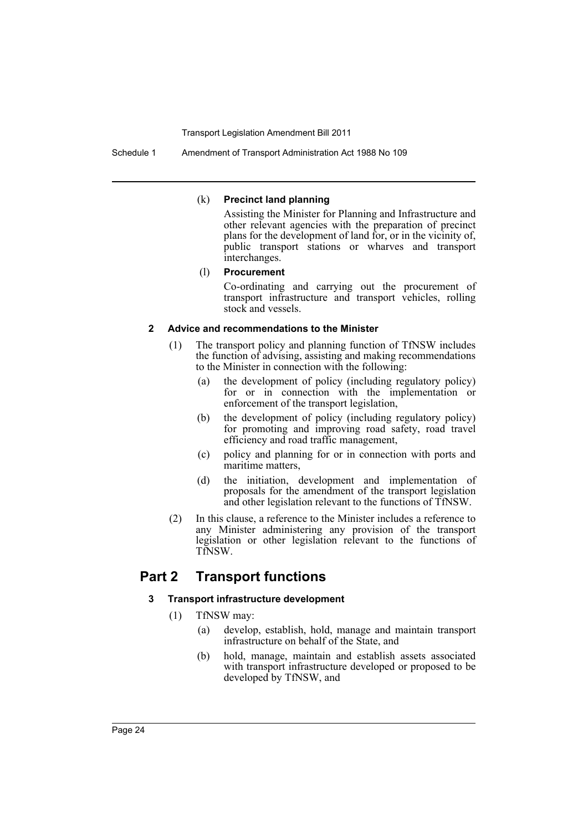#### (k) **Precinct land planning**

Assisting the Minister for Planning and Infrastructure and other relevant agencies with the preparation of precinct plans for the development of land for, or in the vicinity of, public transport stations or wharves and transport interchanges.

#### (l) **Procurement**

Co-ordinating and carrying out the procurement of transport infrastructure and transport vehicles, rolling stock and vessels.

#### **2 Advice and recommendations to the Minister**

- (1) The transport policy and planning function of TfNSW includes the function of advising, assisting and making recommendations to the Minister in connection with the following:
	- (a) the development of policy (including regulatory policy) for or in connection with the implementation or enforcement of the transport legislation,
	- (b) the development of policy (including regulatory policy) for promoting and improving road safety, road travel efficiency and road traffic management,
	- (c) policy and planning for or in connection with ports and maritime matters,
	- (d) the initiation, development and implementation of proposals for the amendment of the transport legislation and other legislation relevant to the functions of TfNSW.
- (2) In this clause, a reference to the Minister includes a reference to any Minister administering any provision of the transport legislation or other legislation relevant to the functions of TfNSW.

# **Part 2 Transport functions**

### **3 Transport infrastructure development**

- (1) TfNSW may:
	- (a) develop, establish, hold, manage and maintain transport infrastructure on behalf of the State, and
	- (b) hold, manage, maintain and establish assets associated with transport infrastructure developed or proposed to be developed by TfNSW, and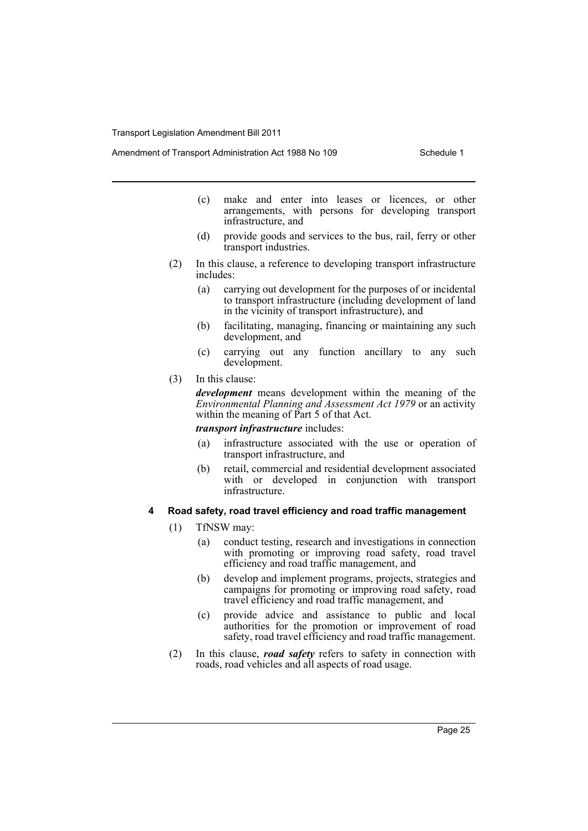- (c) make and enter into leases or licences, or other arrangements, with persons for developing transport infrastructure, and
- (d) provide goods and services to the bus, rail, ferry or other transport industries.
- (2) In this clause, a reference to developing transport infrastructure includes:
	- (a) carrying out development for the purposes of or incidental to transport infrastructure (including development of land in the vicinity of transport infrastructure), and
	- (b) facilitating, managing, financing or maintaining any such development, and
	- (c) carrying out any function ancillary to any such development.
- (3) In this clause:

*development* means development within the meaning of the *Environmental Planning and Assessment Act 1979* or an activity within the meaning of Part 5 of that Act.

#### *transport infrastructure* includes:

- (a) infrastructure associated with the use or operation of transport infrastructure, and
- (b) retail, commercial and residential development associated with or developed in conjunction with transport infrastructure.

#### **4 Road safety, road travel efficiency and road traffic management**

- (1) TfNSW may:
	- (a) conduct testing, research and investigations in connection with promoting or improving road safety, road travel efficiency and road traffic management, and
	- (b) develop and implement programs, projects, strategies and campaigns for promoting or improving road safety, road travel efficiency and road traffic management, and
	- (c) provide advice and assistance to public and local authorities for the promotion or improvement of road safety, road travel efficiency and road traffic management.
- (2) In this clause, *road safety* refers to safety in connection with roads, road vehicles and all aspects of road usage.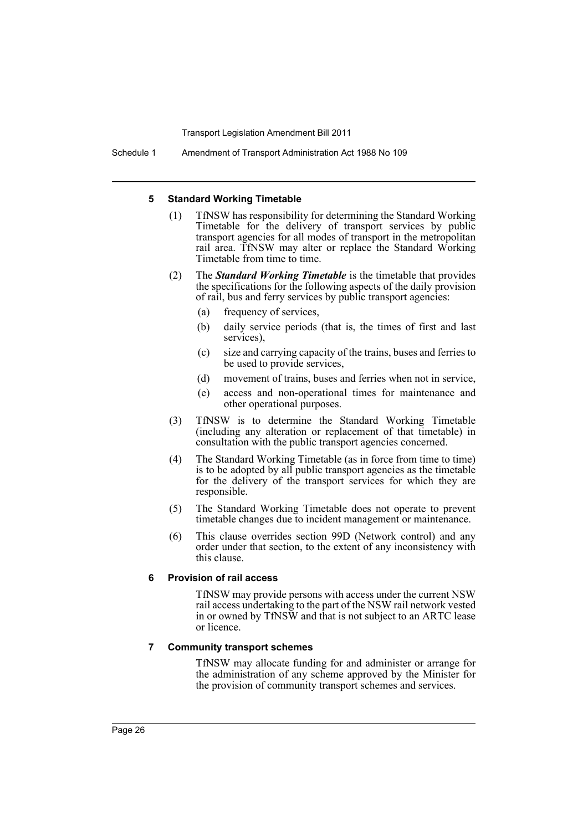Schedule 1 Amendment of Transport Administration Act 1988 No 109

#### **5 Standard Working Timetable**

- (1) TfNSW has responsibility for determining the Standard Working Timetable for the delivery of transport services by public transport agencies for all modes of transport in the metropolitan rail area. TfNSW may alter or replace the Standard Working Timetable from time to time.
- (2) The *Standard Working Timetable* is the timetable that provides the specifications for the following aspects of the daily provision of rail, bus and ferry services by public transport agencies:
	- (a) frequency of services,
	- (b) daily service periods (that is, the times of first and last services),
	- (c) size and carrying capacity of the trains, buses and ferries to be used to provide services,
	- (d) movement of trains, buses and ferries when not in service,
	- (e) access and non-operational times for maintenance and other operational purposes.
- (3) TfNSW is to determine the Standard Working Timetable (including any alteration or replacement of that timetable) in consultation with the public transport agencies concerned.
- (4) The Standard Working Timetable (as in force from time to time) is to be adopted by all public transport agencies as the timetable for the delivery of the transport services for which they are responsible.
- (5) The Standard Working Timetable does not operate to prevent timetable changes due to incident management or maintenance.
- (6) This clause overrides section 99D (Network control) and any order under that section, to the extent of any inconsistency with this clause.

#### **6 Provision of rail access**

TfNSW may provide persons with access under the current NSW rail access undertaking to the part of the NSW rail network vested in or owned by TfNSW and that is not subject to an ARTC lease or licence.

#### **7 Community transport schemes**

TfNSW may allocate funding for and administer or arrange for the administration of any scheme approved by the Minister for the provision of community transport schemes and services.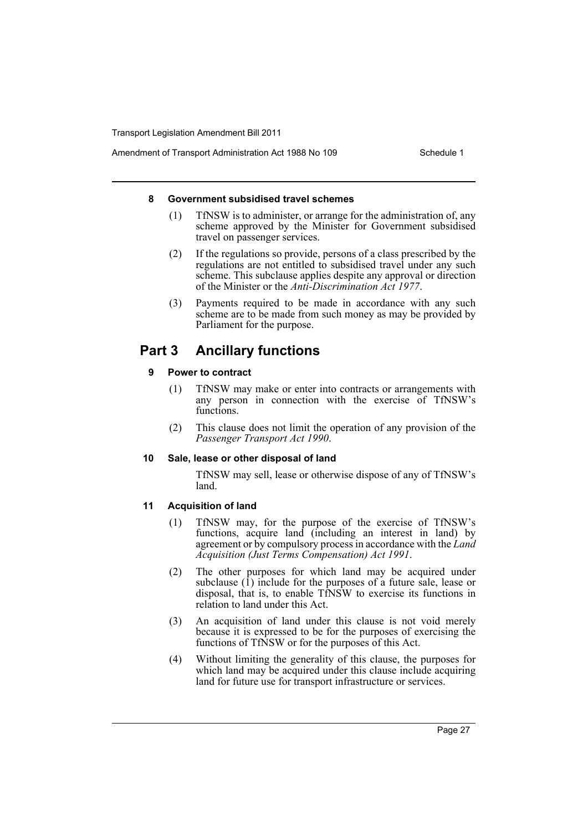#### **8 Government subsidised travel schemes**

- (1) TfNSW is to administer, or arrange for the administration of, any scheme approved by the Minister for Government subsidised travel on passenger services.
- (2) If the regulations so provide, persons of a class prescribed by the regulations are not entitled to subsidised travel under any such scheme. This subclause applies despite any approval or direction of the Minister or the *Anti-Discrimination Act 1977*.
- (3) Payments required to be made in accordance with any such scheme are to be made from such money as may be provided by Parliament for the purpose.

# **Part 3 Ancillary functions**

### **9 Power to contract**

- (1) TfNSW may make or enter into contracts or arrangements with any person in connection with the exercise of TfNSW's functions.
- (2) This clause does not limit the operation of any provision of the *Passenger Transport Act 1990*.

### **10 Sale, lease or other disposal of land**

TfNSW may sell, lease or otherwise dispose of any of TfNSW's land.

### **11 Acquisition of land**

- (1) TfNSW may, for the purpose of the exercise of TfNSW's functions, acquire land (including an interest in land) by agreement or by compulsory process in accordance with the *Land Acquisition (Just Terms Compensation) Act 1991*.
- (2) The other purposes for which land may be acquired under subclause  $(1)$  include for the purposes of a future sale, lease or disposal, that is, to enable TfNSW to exercise its functions in relation to land under this Act.
- (3) An acquisition of land under this clause is not void merely because it is expressed to be for the purposes of exercising the functions of TfNSW or for the purposes of this Act.
- (4) Without limiting the generality of this clause, the purposes for which land may be acquired under this clause include acquiring land for future use for transport infrastructure or services.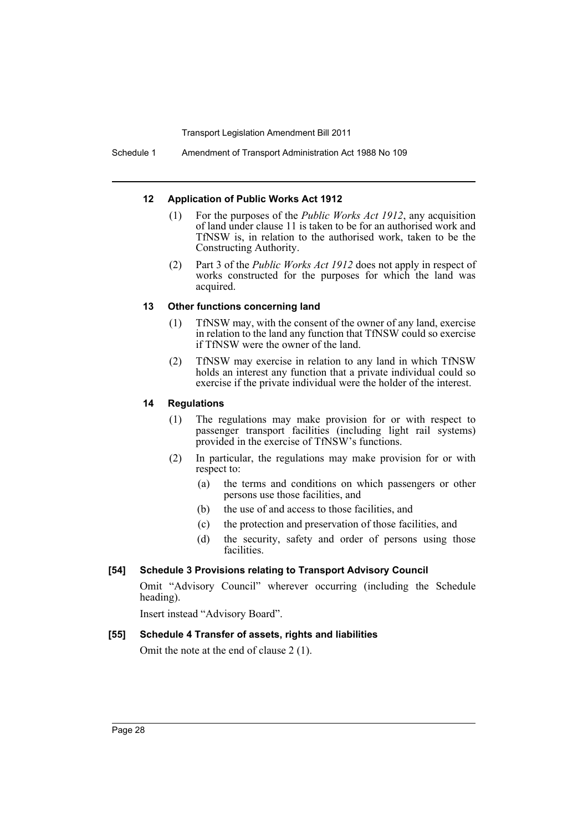#### **12 Application of Public Works Act 1912**

- (1) For the purposes of the *Public Works Act 1912*, any acquisition of land under clause 11 is taken to be for an authorised work and TfNSW is, in relation to the authorised work, taken to be the Constructing Authority.
- (2) Part 3 of the *Public Works Act 1912* does not apply in respect of works constructed for the purposes for which the land was acquired.

### **13 Other functions concerning land**

- (1) TfNSW may, with the consent of the owner of any land, exercise in relation to the land any function that TfNSW could so exercise if TfNSW were the owner of the land.
- (2) TfNSW may exercise in relation to any land in which TfNSW holds an interest any function that a private individual could so exercise if the private individual were the holder of the interest.

### **14 Regulations**

- (1) The regulations may make provision for or with respect to passenger transport facilities (including light rail systems) provided in the exercise of TfNSW's functions.
- (2) In particular, the regulations may make provision for or with respect to:
	- (a) the terms and conditions on which passengers or other persons use those facilities, and
	- (b) the use of and access to those facilities, and
	- (c) the protection and preservation of those facilities, and
	- (d) the security, safety and order of persons using those facilities.

### **[54] Schedule 3 Provisions relating to Transport Advisory Council**

Omit "Advisory Council" wherever occurring (including the Schedule heading).

Insert instead "Advisory Board".

### **[55] Schedule 4 Transfer of assets, rights and liabilities**

Omit the note at the end of clause 2 (1).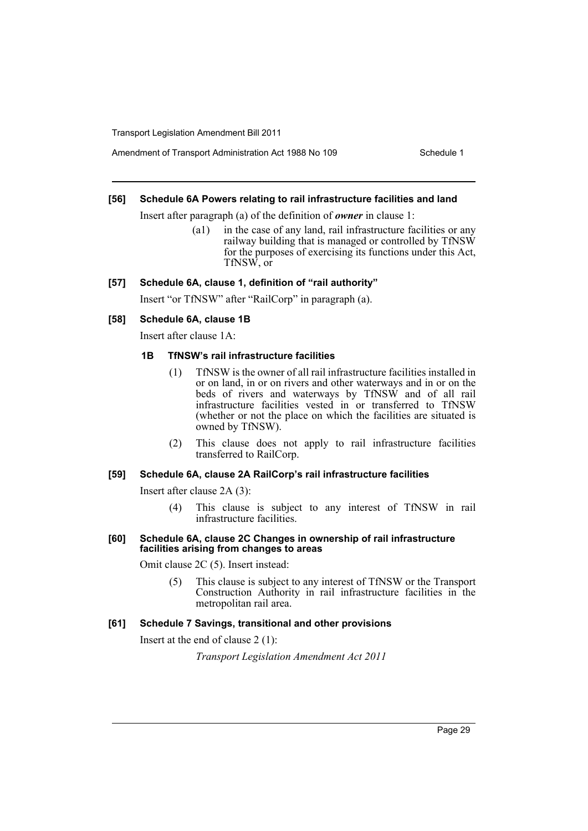Amendment of Transport Administration Act 1988 No 109 Schedule 1

#### **[56] Schedule 6A Powers relating to rail infrastructure facilities and land**

Insert after paragraph (a) of the definition of *owner* in clause 1:

(a1) in the case of any land, rail infrastructure facilities or any railway building that is managed or controlled by TfNSW for the purposes of exercising its functions under this Act, TfNSW, or

#### **[57] Schedule 6A, clause 1, definition of "rail authority"**

Insert "or TfNSW" after "RailCorp" in paragraph (a).

#### **[58] Schedule 6A, clause 1B**

Insert after clause 1A:

#### **1B TfNSW's rail infrastructure facilities**

- (1) TfNSW is the owner of all rail infrastructure facilities installed in or on land, in or on rivers and other waterways and in or on the beds of rivers and waterways by TfNSW and of all rail infrastructure facilities vested in or transferred to TfNSW (whether or not the place on which the facilities are situated is owned by TfNSW).
- (2) This clause does not apply to rail infrastructure facilities transferred to RailCorp.

#### **[59] Schedule 6A, clause 2A RailCorp's rail infrastructure facilities**

Insert after clause 2A (3):

(4) This clause is subject to any interest of TfNSW in rail infrastructure facilities.

#### **[60] Schedule 6A, clause 2C Changes in ownership of rail infrastructure facilities arising from changes to areas**

Omit clause 2C (5). Insert instead:

(5) This clause is subject to any interest of TfNSW or the Transport Construction Authority in rail infrastructure facilities in the metropolitan rail area.

#### **[61] Schedule 7 Savings, transitional and other provisions**

Insert at the end of clause 2 (1):

*Transport Legislation Amendment Act 2011*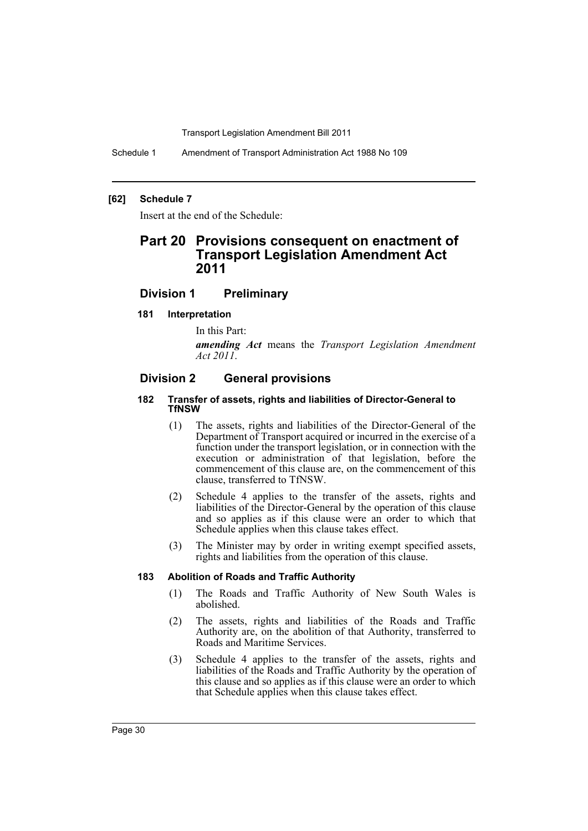Schedule 1 Amendment of Transport Administration Act 1988 No 109

#### **[62] Schedule 7**

Insert at the end of the Schedule:

## **Part 20 Provisions consequent on enactment of Transport Legislation Amendment Act 2011**

### **Division 1 Preliminary**

#### **181 Interpretation**

In this Part:

*amending Act* means the *Transport Legislation Amendment Act 2011*.

### **Division 2 General provisions**

#### **182 Transfer of assets, rights and liabilities of Director-General to TfNSW**

- (1) The assets, rights and liabilities of the Director-General of the Department of Transport acquired or incurred in the exercise of a function under the transport legislation, or in connection with the execution or administration of that legislation, before the commencement of this clause are, on the commencement of this clause, transferred to TfNSW.
- (2) Schedule 4 applies to the transfer of the assets, rights and liabilities of the Director-General by the operation of this clause and so applies as if this clause were an order to which that Schedule applies when this clause takes effect.
- (3) The Minister may by order in writing exempt specified assets, rights and liabilities from the operation of this clause.

#### **183 Abolition of Roads and Traffic Authority**

- (1) The Roads and Traffic Authority of New South Wales is abolished.
- (2) The assets, rights and liabilities of the Roads and Traffic Authority are, on the abolition of that Authority, transferred to Roads and Maritime Services.
- (3) Schedule 4 applies to the transfer of the assets, rights and liabilities of the Roads and Traffic Authority by the operation of this clause and so applies as if this clause were an order to which that Schedule applies when this clause takes effect.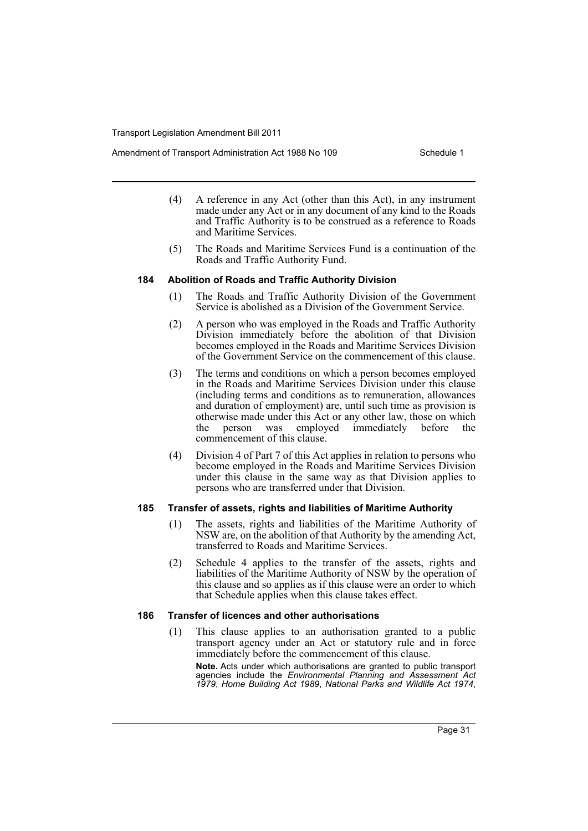Amendment of Transport Administration Act 1988 No 109 Schedule 1

- (4) A reference in any Act (other than this Act), in any instrument made under any Act or in any document of any kind to the Roads and Traffic Authority is to be construed as a reference to Roads and Maritime Services.
- (5) The Roads and Maritime Services Fund is a continuation of the Roads and Traffic Authority Fund.

### **184 Abolition of Roads and Traffic Authority Division**

- (1) The Roads and Traffic Authority Division of the Government Service is abolished as a Division of the Government Service.
- (2) A person who was employed in the Roads and Traffic Authority Division immediately before the abolition of that Division becomes employed in the Roads and Maritime Services Division of the Government Service on the commencement of this clause.
- (3) The terms and conditions on which a person becomes employed in the Roads and Maritime Services Division under this clause (including terms and conditions as to remuneration, allowances and duration of employment) are, until such time as provision is otherwise made under this Act or any other law, those on which the person was employed immediately before the commencement of this clause.
- (4) Division 4 of Part 7 of this Act applies in relation to persons who become employed in the Roads and Maritime Services Division under this clause in the same way as that Division applies to persons who are transferred under that Division.

### **185 Transfer of assets, rights and liabilities of Maritime Authority**

- (1) The assets, rights and liabilities of the Maritime Authority of NSW are, on the abolition of that Authority by the amending Act, transferred to Roads and Maritime Services.
- (2) Schedule 4 applies to the transfer of the assets, rights and liabilities of the Maritime Authority of NSW by the operation of this clause and so applies as if this clause were an order to which that Schedule applies when this clause takes effect.

### **186 Transfer of licences and other authorisations**

(1) This clause applies to an authorisation granted to a public transport agency under an Act or statutory rule and in force immediately before the commencement of this clause.

**Note.** Acts under which authorisations are granted to public transport agencies include the *Environmental Planning and Assessment Act 1979*, *Home Building Act 1989*, *National Parks and Wildlife Act 1974*,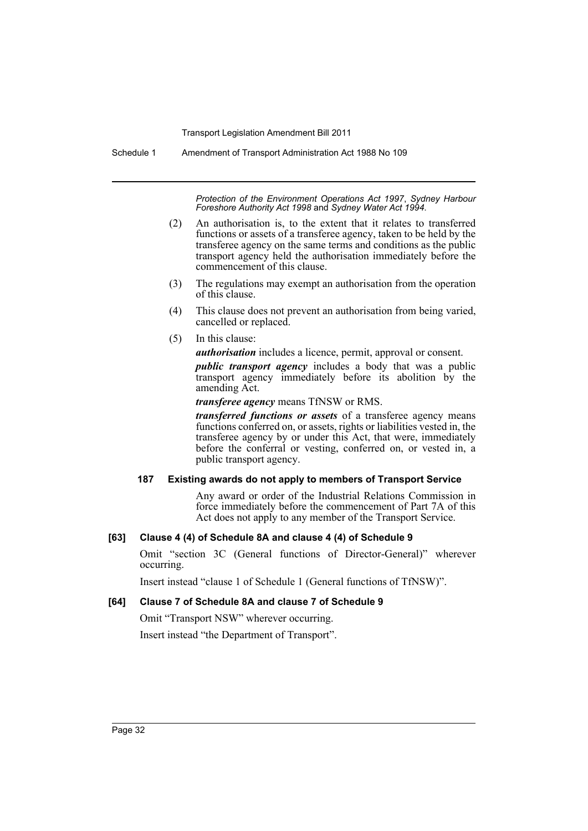Schedule 1 Amendment of Transport Administration Act 1988 No 109

*Protection of the Environment Operations Act 1997*, *Sydney Harbour Foreshore Authority Act 1998* and *Sydney Water Act 1994*.

- (2) An authorisation is, to the extent that it relates to transferred functions or assets of a transferee agency, taken to be held by the transferee agency on the same terms and conditions as the public transport agency held the authorisation immediately before the commencement of this clause.
- (3) The regulations may exempt an authorisation from the operation of this clause.
- (4) This clause does not prevent an authorisation from being varied, cancelled or replaced.
- (5) In this clause:

*authorisation* includes a licence, permit, approval or consent.

*public transport agency* includes a body that was a public transport agency immediately before its abolition by the amending Act.

*transferee agency* means TfNSW or RMS.

*transferred functions or assets* of a transferee agency means functions conferred on, or assets, rights or liabilities vested in, the transferee agency by or under this Act, that were, immediately before the conferral or vesting, conferred on, or vested in, a public transport agency.

#### **187 Existing awards do not apply to members of Transport Service**

Any award or order of the Industrial Relations Commission in force immediately before the commencement of Part 7A of this Act does not apply to any member of the Transport Service.

### **[63] Clause 4 (4) of Schedule 8A and clause 4 (4) of Schedule 9**

Omit "section 3C (General functions of Director-General)" wherever occurring.

Insert instead "clause 1 of Schedule 1 (General functions of TfNSW)".

### **[64] Clause 7 of Schedule 8A and clause 7 of Schedule 9**

Omit "Transport NSW" wherever occurring.

Insert instead "the Department of Transport".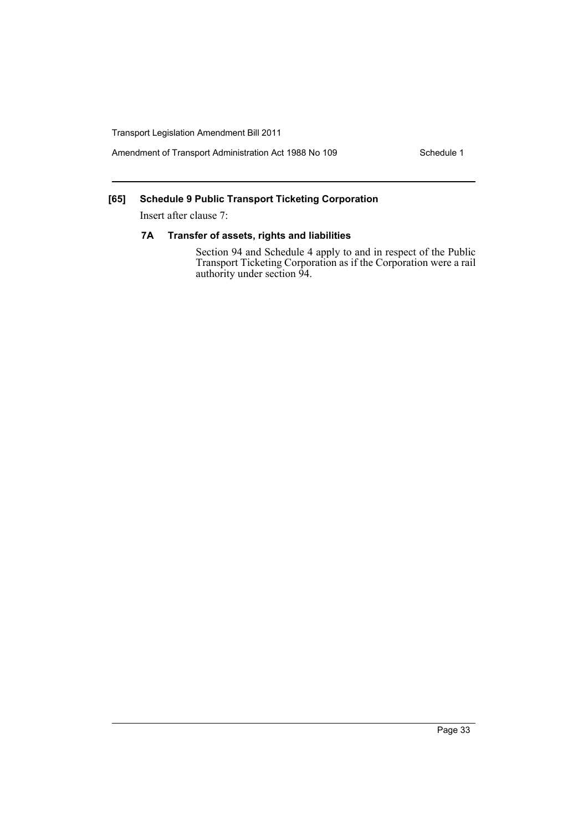Amendment of Transport Administration Act 1988 No 109 Schedule 1

### **[65] Schedule 9 Public Transport Ticketing Corporation**

Insert after clause 7:

### **7A Transfer of assets, rights and liabilities**

Section 94 and Schedule 4 apply to and in respect of the Public Transport Ticketing Corporation as if the Corporation were a rail authority under section 94.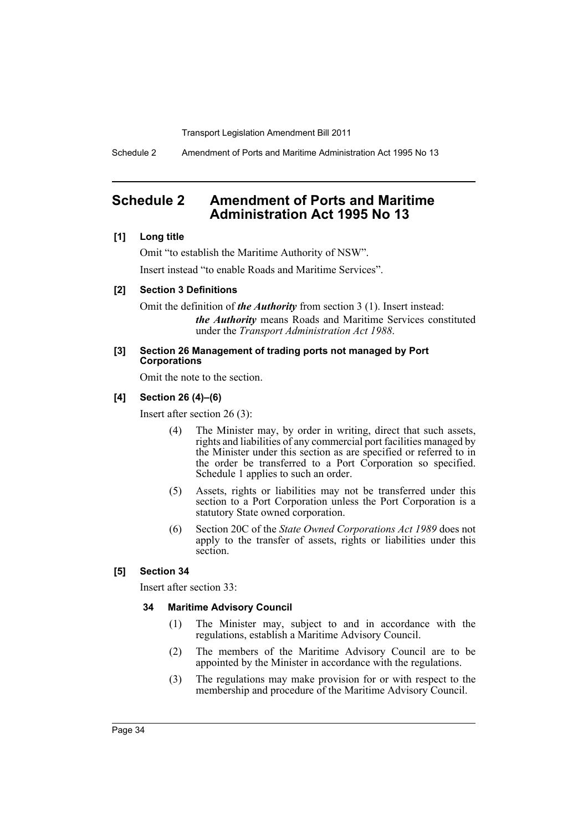Schedule 2 Amendment of Ports and Maritime Administration Act 1995 No 13

# <span id="page-35-0"></span>**Schedule 2 Amendment of Ports and Maritime Administration Act 1995 No 13**

### **[1] Long title**

Omit "to establish the Maritime Authority of NSW". Insert instead "to enable Roads and Maritime Services".

### **[2] Section 3 Definitions**

Omit the definition of *the Authority* from section 3 (1). Insert instead: *the Authority* means Roads and Maritime Services constituted under the *Transport Administration Act 1988*.

#### **[3] Section 26 Management of trading ports not managed by Port Corporations**

Omit the note to the section.

### **[4] Section 26 (4)–(6)**

Insert after section 26 (3):

- (4) The Minister may, by order in writing, direct that such assets, rights and liabilities of any commercial port facilities managed by the Minister under this section as are specified or referred to in the order be transferred to a Port Corporation so specified. Schedule 1 applies to such an order.
- (5) Assets, rights or liabilities may not be transferred under this section to a Port Corporation unless the Port Corporation is a statutory State owned corporation.
- (6) Section 20C of the *State Owned Corporations Act 1989* does not apply to the transfer of assets, rights or liabilities under this section.

#### **[5] Section 34**

Insert after section 33:

#### **34 Maritime Advisory Council**

- (1) The Minister may, subject to and in accordance with the regulations, establish a Maritime Advisory Council.
- (2) The members of the Maritime Advisory Council are to be appointed by the Minister in accordance with the regulations.
- (3) The regulations may make provision for or with respect to the membership and procedure of the Maritime Advisory Council.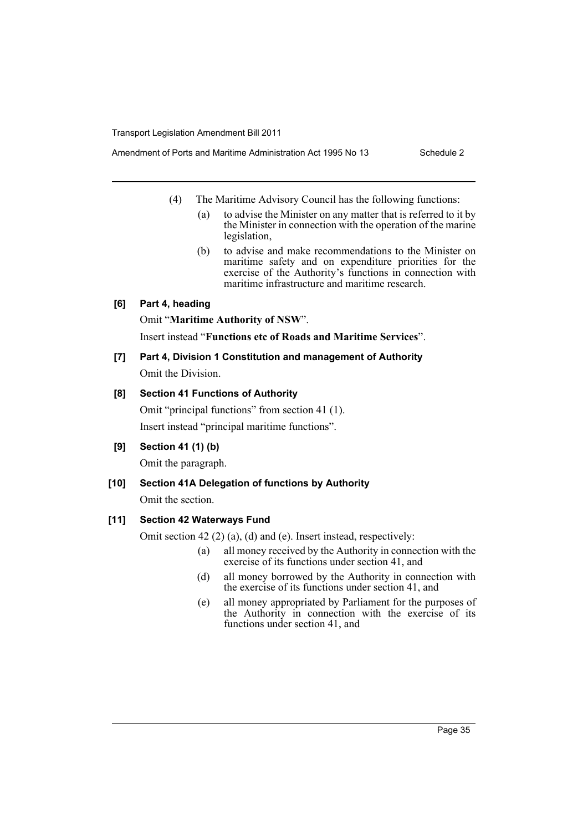- (4) The Maritime Advisory Council has the following functions:
	- (a) to advise the Minister on any matter that is referred to it by the Minister in connection with the operation of the marine legislation,
	- (b) to advise and make recommendations to the Minister on maritime safety and on expenditure priorities for the exercise of the Authority's functions in connection with maritime infrastructure and maritime research.

#### **[6] Part 4, heading**

Omit "**Maritime Authority of NSW**".

Insert instead "**Functions etc of Roads and Maritime Services**".

**[7] Part 4, Division 1 Constitution and management of Authority** Omit the Division.

#### **[8] Section 41 Functions of Authority**

Omit "principal functions" from section 41 (1). Insert instead "principal maritime functions".

#### **[9] Section 41 (1) (b)**

Omit the paragraph.

## **[10] Section 41A Delegation of functions by Authority**

Omit the section.

#### **[11] Section 42 Waterways Fund**

Omit section 42 (2) (a), (d) and (e). Insert instead, respectively:

- (a) all money received by the Authority in connection with the exercise of its functions under section 41, and
- (d) all money borrowed by the Authority in connection with the exercise of its functions under section 41, and
- (e) all money appropriated by Parliament for the purposes of the Authority in connection with the exercise of its functions under section 41, and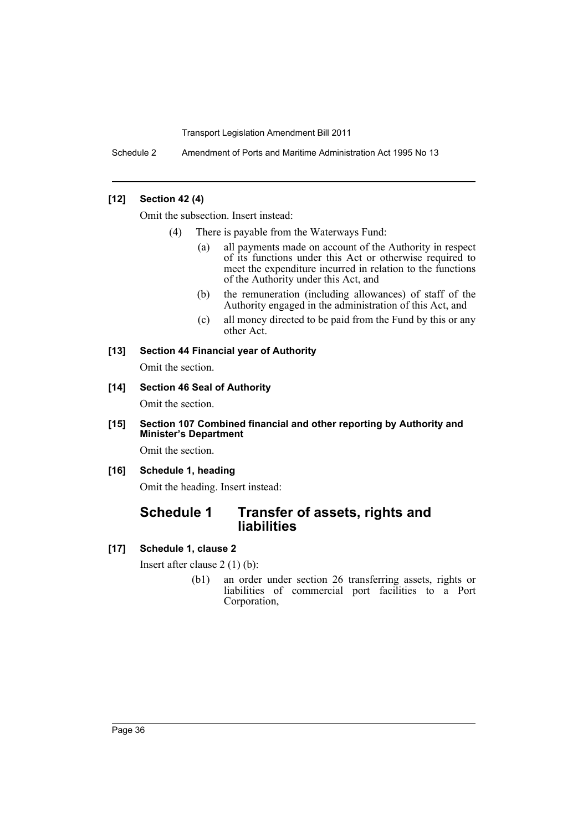Schedule 2 Amendment of Ports and Maritime Administration Act 1995 No 13

#### **[12] Section 42 (4)**

Omit the subsection. Insert instead:

- (4) There is payable from the Waterways Fund:
	- (a) all payments made on account of the Authority in respect of its functions under this Act or otherwise required to meet the expenditure incurred in relation to the functions of the Authority under this Act, and
	- (b) the remuneration (including allowances) of staff of the Authority engaged in the administration of this Act, and
	- (c) all money directed to be paid from the Fund by this or any other Act.

#### **[13] Section 44 Financial year of Authority**

Omit the section.

#### **[14] Section 46 Seal of Authority**

Omit the section.

**[15] Section 107 Combined financial and other reporting by Authority and Minister's Department**

Omit the section.

#### **[16] Schedule 1, heading**

Omit the heading. Insert instead:

# **Schedule 1 Transfer of assets, rights and liabilities**

#### **[17] Schedule 1, clause 2**

Insert after clause 2 (1) (b):

(b1) an order under section 26 transferring assets, rights or liabilities of commercial port facilities to a Port Corporation,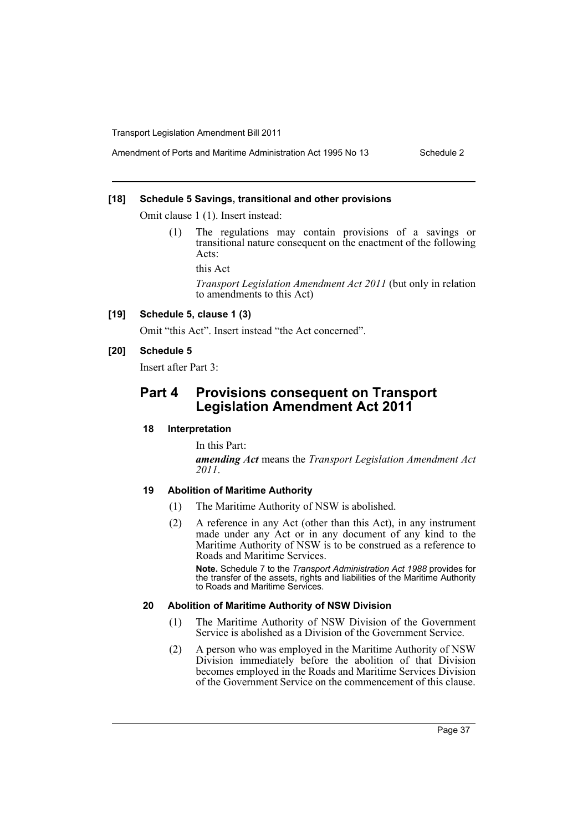#### **[18] Schedule 5 Savings, transitional and other provisions**

Omit clause 1 (1). Insert instead:

(1) The regulations may contain provisions of a savings or transitional nature consequent on the enactment of the following Acts:

this Act

*Transport Legislation Amendment Act 2011* (but only in relation to amendments to this Act)

#### **[19] Schedule 5, clause 1 (3)**

Omit "this Act". Insert instead "the Act concerned".

#### **[20] Schedule 5**

Insert after Part 3:

# **Part 4 Provisions consequent on Transport Legislation Amendment Act 2011**

#### **18 Interpretation**

In this Part: *amending Act* means the *Transport Legislation Amendment Act 2011*.

#### **19 Abolition of Maritime Authority**

- (1) The Maritime Authority of NSW is abolished.
- (2) A reference in any Act (other than this Act), in any instrument made under any Act or in any document of any kind to the Maritime Authority of NSW is to be construed as a reference to Roads and Maritime Services.

**Note.** Schedule 7 to the *Transport Administration Act 1988* provides for the transfer of the assets, rights and liabilities of the Maritime Authority to Roads and Maritime Services.

#### **20 Abolition of Maritime Authority of NSW Division**

- (1) The Maritime Authority of NSW Division of the Government Service is abolished as a Division of the Government Service.
- (2) A person who was employed in the Maritime Authority of NSW Division immediately before the abolition of that Division becomes employed in the Roads and Maritime Services Division of the Government Service on the commencement of this clause.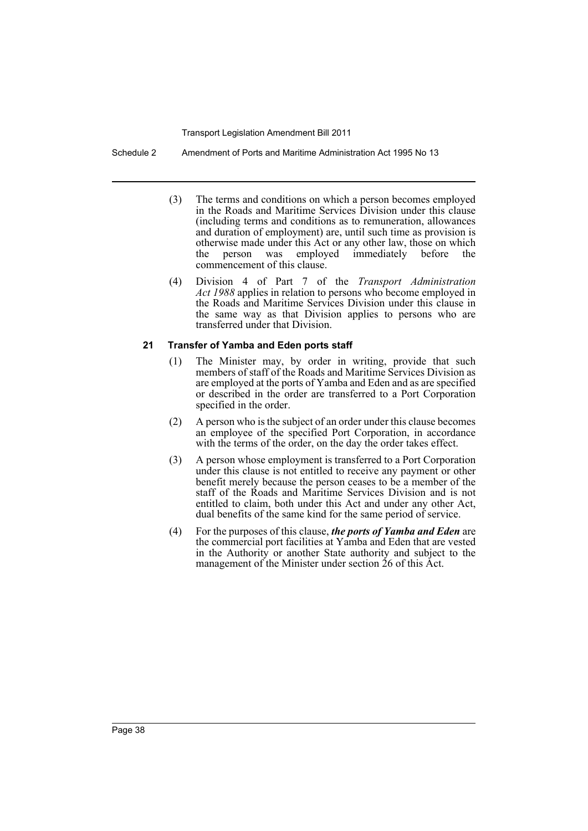Schedule 2 Amendment of Ports and Maritime Administration Act 1995 No 13

- (3) The terms and conditions on which a person becomes employed in the Roads and Maritime Services Division under this clause (including terms and conditions as to remuneration, allowances and duration of employment) are, until such time as provision is otherwise made under this Act or any other law, those on which the person was employed immediately before the commencement of this clause.
- (4) Division 4 of Part 7 of the *Transport Administration Act 1988* applies in relation to persons who become employed in the Roads and Maritime Services Division under this clause in the same way as that Division applies to persons who are transferred under that Division.

#### **21 Transfer of Yamba and Eden ports staff**

- (1) The Minister may, by order in writing, provide that such members of staff of the Roads and Maritime Services Division as are employed at the ports of Yamba and Eden and as are specified or described in the order are transferred to a Port Corporation specified in the order.
- (2) A person who is the subject of an order under this clause becomes an employee of the specified Port Corporation, in accordance with the terms of the order, on the day the order takes effect.
- (3) A person whose employment is transferred to a Port Corporation under this clause is not entitled to receive any payment or other benefit merely because the person ceases to be a member of the staff of the Roads and Maritime Services Division and is not entitled to claim, both under this Act and under any other Act, dual benefits of the same kind for the same period of service.
- (4) For the purposes of this clause, *the ports of Yamba and Eden* are the commercial port facilities at Yamba and Eden that are vested in the Authority or another State authority and subject to the management of the Minister under section 26 of this Act.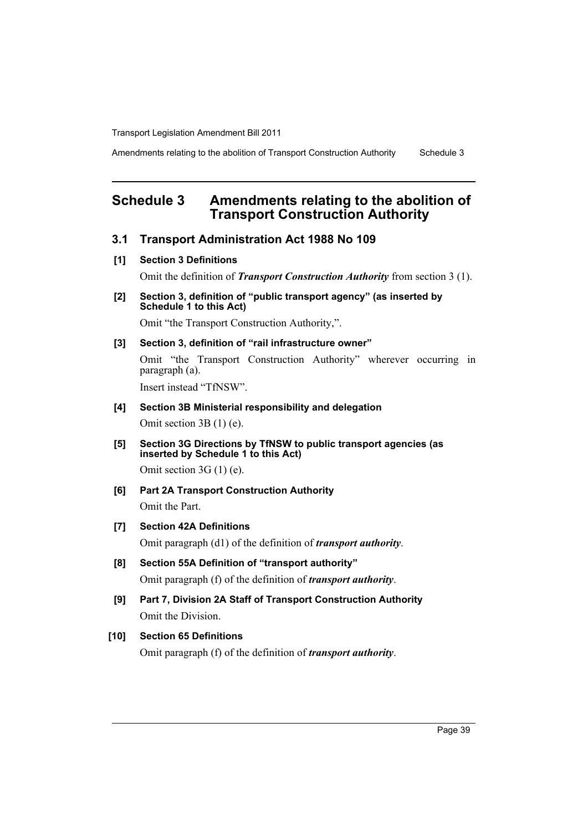Amendments relating to the abolition of Transport Construction Authority Schedule 3

# **Schedule 3 Amendments relating to the abolition of Transport Construction Authority**

# **3.1 Transport Administration Act 1988 No 109**

**[1] Section 3 Definitions**

Omit the definition of *Transport Construction Authority* from section 3 (1).

**[2] Section 3, definition of "public transport agency" (as inserted by Schedule 1 to this Act)**

Omit "the Transport Construction Authority,".

## **[3] Section 3, definition of "rail infrastructure owner"**

Omit "the Transport Construction Authority" wherever occurring in paragraph (a).

Insert instead "TfNSW".

# **[4] Section 3B Ministerial responsibility and delegation**

Omit section 3B (1) (e).

**[5] Section 3G Directions by TfNSW to public transport agencies (as inserted by Schedule 1 to this Act)**

Omit section 3G (1) (e).

**[6] Part 2A Transport Construction Authority** Omit the Part.

# **[7] Section 42A Definitions**

Omit paragraph (d1) of the definition of *transport authority*.

- **[8] Section 55A Definition of "transport authority"** Omit paragraph (f) of the definition of *transport authority*.
- **[9] Part 7, Division 2A Staff of Transport Construction Authority** Omit the Division.

# **[10] Section 65 Definitions**

Omit paragraph (f) of the definition of *transport authority*.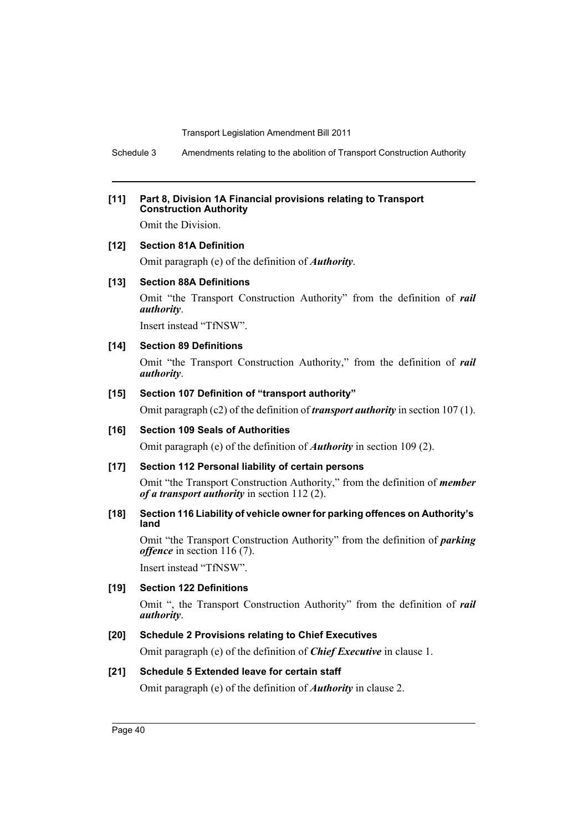Schedule 3 Amendments relating to the abolition of Transport Construction Authority

#### **[11] Part 8, Division 1A Financial provisions relating to Transport Construction Authority**

Omit the Division.

#### **[12] Section 81A Definition**

Omit paragraph (e) of the definition of *Authority*.

#### **[13] Section 88A Definitions**

Omit "the Transport Construction Authority" from the definition of *rail authority*.

Insert instead "TfNSW".

#### **[14] Section 89 Definitions**

Omit "the Transport Construction Authority," from the definition of *rail authority*.

#### **[15] Section 107 Definition of "transport authority"**

Omit paragraph (c2) of the definition of *transport authority* in section 107 (1).

## **[16] Section 109 Seals of Authorities**

Omit paragraph (e) of the definition of *Authority* in section 109 (2).

#### **[17] Section 112 Personal liability of certain persons**

Omit "the Transport Construction Authority," from the definition of *member of a transport authority* in section 112 (2).

#### **[18] Section 116 Liability of vehicle owner for parking offences on Authority's land**

Omit "the Transport Construction Authority" from the definition of *parking offence* in section 116 (7).

Insert instead "TfNSW".

## **[19] Section 122 Definitions**

Omit ", the Transport Construction Authority" from the definition of *rail authority*.

# **[20] Schedule 2 Provisions relating to Chief Executives**

Omit paragraph (e) of the definition of *Chief Executive* in clause 1.

# **[21] Schedule 5 Extended leave for certain staff**

Omit paragraph (e) of the definition of *Authority* in clause 2.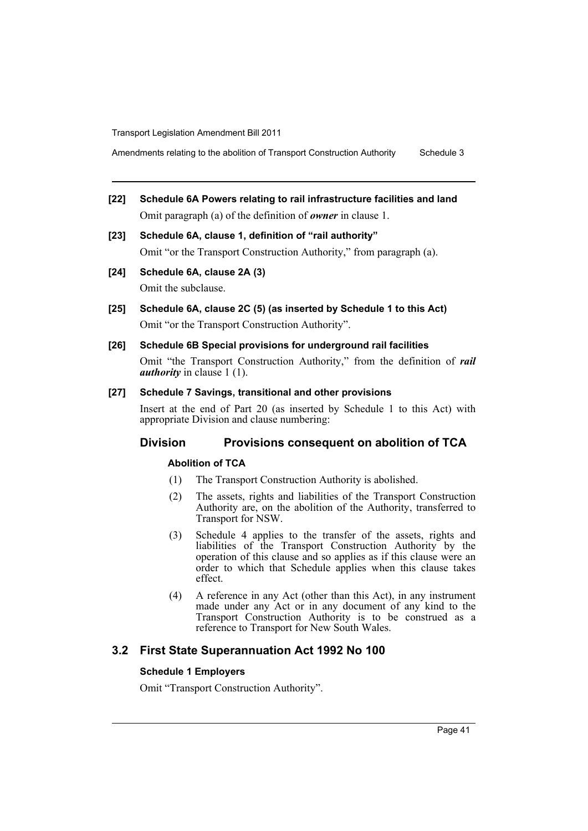Amendments relating to the abolition of Transport Construction Authority Schedule 3

- **[22] Schedule 6A Powers relating to rail infrastructure facilities and land** Omit paragraph (a) of the definition of *owner* in clause 1.
- **[23] Schedule 6A, clause 1, definition of "rail authority"** Omit "or the Transport Construction Authority," from paragraph (a).
- **[24] Schedule 6A, clause 2A (3)**

Omit the subclause.

- **[25] Schedule 6A, clause 2C (5) (as inserted by Schedule 1 to this Act)** Omit "or the Transport Construction Authority".
- **[26] Schedule 6B Special provisions for underground rail facilities**

Omit "the Transport Construction Authority," from the definition of *rail authority* in clause 1 (1).

### **[27] Schedule 7 Savings, transitional and other provisions**

Insert at the end of Part 20 (as inserted by Schedule 1 to this Act) with appropriate Division and clause numbering:

# **Division Provisions consequent on abolition of TCA**

#### **Abolition of TCA**

- (1) The Transport Construction Authority is abolished.
- (2) The assets, rights and liabilities of the Transport Construction Authority are, on the abolition of the Authority, transferred to Transport for NSW.
- (3) Schedule 4 applies to the transfer of the assets, rights and liabilities of the Transport Construction Authority by the operation of this clause and so applies as if this clause were an order to which that Schedule applies when this clause takes effect.
- (4) A reference in any Act (other than this Act), in any instrument made under any Act or in any document of any kind to the Transport Construction Authority is to be construed as a reference to Transport for New South Wales.

# **3.2 First State Superannuation Act 1992 No 100**

#### **Schedule 1 Employers**

Omit "Transport Construction Authority".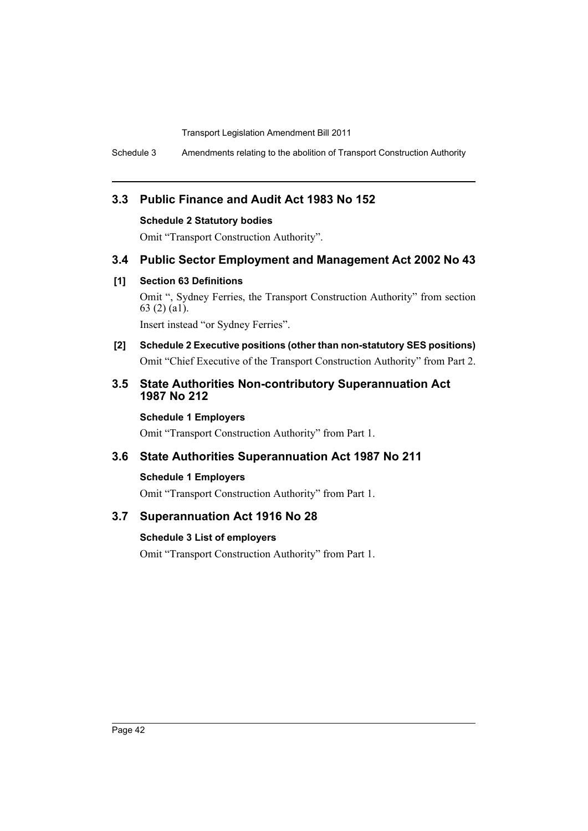Schedule 3 Amendments relating to the abolition of Transport Construction Authority

# **3.3 Public Finance and Audit Act 1983 No 152**

#### **Schedule 2 Statutory bodies**

Omit "Transport Construction Authority".

# **3.4 Public Sector Employment and Management Act 2002 No 43**

#### **[1] Section 63 Definitions**

Omit ", Sydney Ferries, the Transport Construction Authority" from section 63 (2) (a1).

Insert instead "or Sydney Ferries".

**[2] Schedule 2 Executive positions (other than non-statutory SES positions)** Omit "Chief Executive of the Transport Construction Authority" from Part 2.

# **3.5 State Authorities Non-contributory Superannuation Act 1987 No 212**

#### **Schedule 1 Employers**

Omit "Transport Construction Authority" from Part 1.

# **3.6 State Authorities Superannuation Act 1987 No 211**

#### **Schedule 1 Employers**

Omit "Transport Construction Authority" from Part 1.

# **3.7 Superannuation Act 1916 No 28**

### **Schedule 3 List of employers**

Omit "Transport Construction Authority" from Part 1.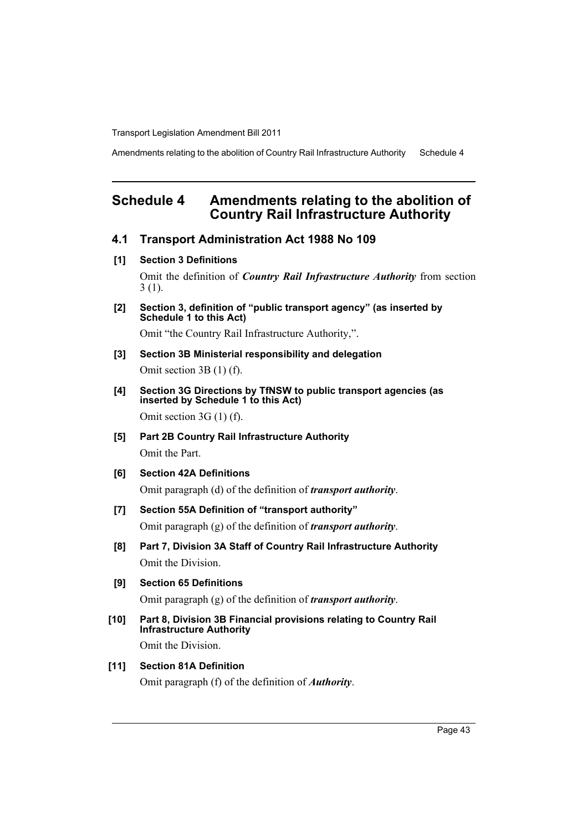Amendments relating to the abolition of Country Rail Infrastructure Authority Schedule 4

# **Schedule 4 Amendments relating to the abolition of Country Rail Infrastructure Authority**

- **4.1 Transport Administration Act 1988 No 109**
- **[1] Section 3 Definitions**

Omit the definition of *Country Rail Infrastructure Authority* from section 3 (1).

**[2] Section 3, definition of "public transport agency" (as inserted by Schedule 1 to this Act)**

Omit "the Country Rail Infrastructure Authority,".

- **[3] Section 3B Ministerial responsibility and delegation** Omit section 3B (1) (f).
- **[4] Section 3G Directions by TfNSW to public transport agencies (as inserted by Schedule 1 to this Act)** Omit section 3G (1) (f).
- **[5] Part 2B Country Rail Infrastructure Authority** Omit the Part.
- **[6] Section 42A Definitions** Omit paragraph (d) of the definition of *transport authority*.
- **[7] Section 55A Definition of "transport authority"** Omit paragraph (g) of the definition of *transport authority*.
- **[8] Part 7, Division 3A Staff of Country Rail Infrastructure Authority** Omit the Division.
- **[9] Section 65 Definitions** Omit paragraph (g) of the definition of *transport authority*.
- **[10] Part 8, Division 3B Financial provisions relating to Country Rail Infrastructure Authority** Omit the Division.

# **[11] Section 81A Definition**

Omit paragraph (f) of the definition of *Authority*.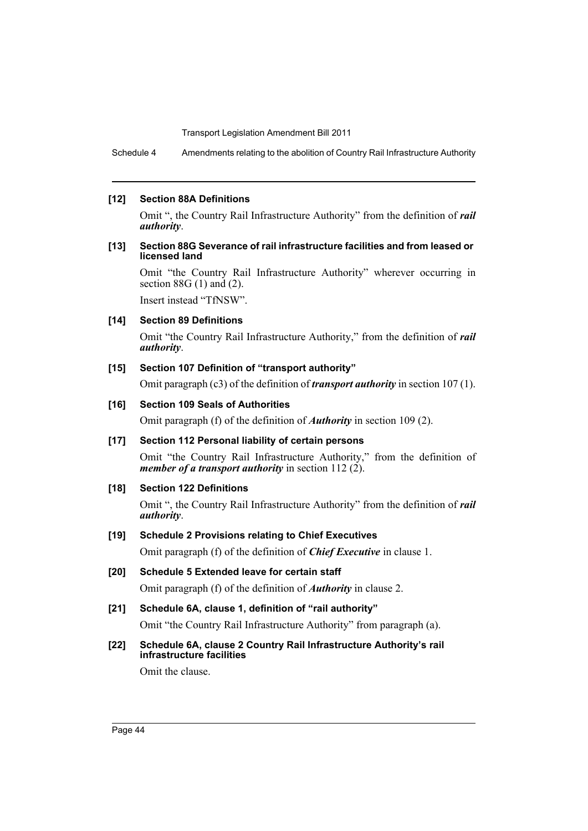Schedule 4 Amendments relating to the abolition of Country Rail Infrastructure Authority

#### **[12] Section 88A Definitions**

Omit ", the Country Rail Infrastructure Authority" from the definition of *rail authority*.

#### **[13] Section 88G Severance of rail infrastructure facilities and from leased or licensed land**

Omit "the Country Rail Infrastructure Authority" wherever occurring in section  $88G(1)$  and  $(2)$ .

Insert instead "TfNSW".

## **[14] Section 89 Definitions**

Omit "the Country Rail Infrastructure Authority," from the definition of *rail authority*.

#### **[15] Section 107 Definition of "transport authority"**

Omit paragraph (c3) of the definition of *transport authority* in section 107 (1).

#### **[16] Section 109 Seals of Authorities**

Omit paragraph (f) of the definition of *Authority* in section 109 (2).

#### **[17] Section 112 Personal liability of certain persons**

Omit "the Country Rail Infrastructure Authority," from the definition of *member of a transport authority* in section 112 (2).

#### **[18] Section 122 Definitions**

Omit ", the Country Rail Infrastructure Authority" from the definition of *rail authority*.

## **[19] Schedule 2 Provisions relating to Chief Executives**

Omit paragraph (f) of the definition of *Chief Executive* in clause 1.

- **[20] Schedule 5 Extended leave for certain staff** Omit paragraph (f) of the definition of *Authority* in clause 2.
- **[21] Schedule 6A, clause 1, definition of "rail authority"** Omit "the Country Rail Infrastructure Authority" from paragraph (a).

## **[22] Schedule 6A, clause 2 Country Rail Infrastructure Authority's rail infrastructure facilities**

Omit the clause.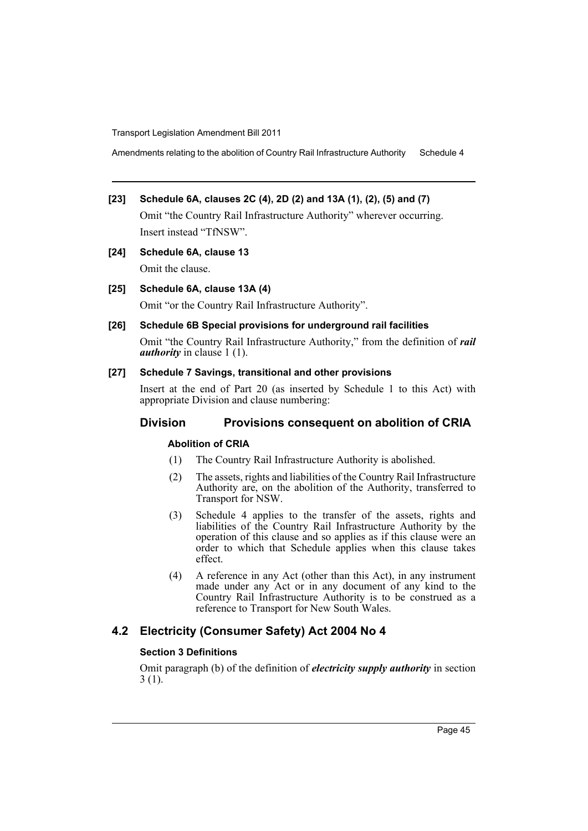Amendments relating to the abolition of Country Rail Infrastructure Authority Schedule 4

# **[23] Schedule 6A, clauses 2C (4), 2D (2) and 13A (1), (2), (5) and (7)**

Omit "the Country Rail Infrastructure Authority" wherever occurring. Insert instead "TfNSW".

**[24] Schedule 6A, clause 13** Omit the clause.

#### **[25] Schedule 6A, clause 13A (4)**

Omit "or the Country Rail Infrastructure Authority".

#### **[26] Schedule 6B Special provisions for underground rail facilities**

Omit "the Country Rail Infrastructure Authority," from the definition of *rail authority* in clause 1 (1).

#### **[27] Schedule 7 Savings, transitional and other provisions**

Insert at the end of Part 20 (as inserted by Schedule 1 to this Act) with appropriate Division and clause numbering:

#### **Division Provisions consequent on abolition of CRIA**

#### **Abolition of CRIA**

- (1) The Country Rail Infrastructure Authority is abolished.
- (2) The assets, rights and liabilities of the Country Rail Infrastructure Authority are, on the abolition of the Authority, transferred to Transport for NSW.
- (3) Schedule 4 applies to the transfer of the assets, rights and liabilities of the Country Rail Infrastructure Authority by the operation of this clause and so applies as if this clause were an order to which that Schedule applies when this clause takes effect.
- (4) A reference in any Act (other than this Act), in any instrument made under any Act or in any document of any kind to the Country Rail Infrastructure Authority is to be construed as a reference to Transport for New South Wales.

# **4.2 Electricity (Consumer Safety) Act 2004 No 4**

#### **Section 3 Definitions**

Omit paragraph (b) of the definition of *electricity supply authority* in section 3 (1).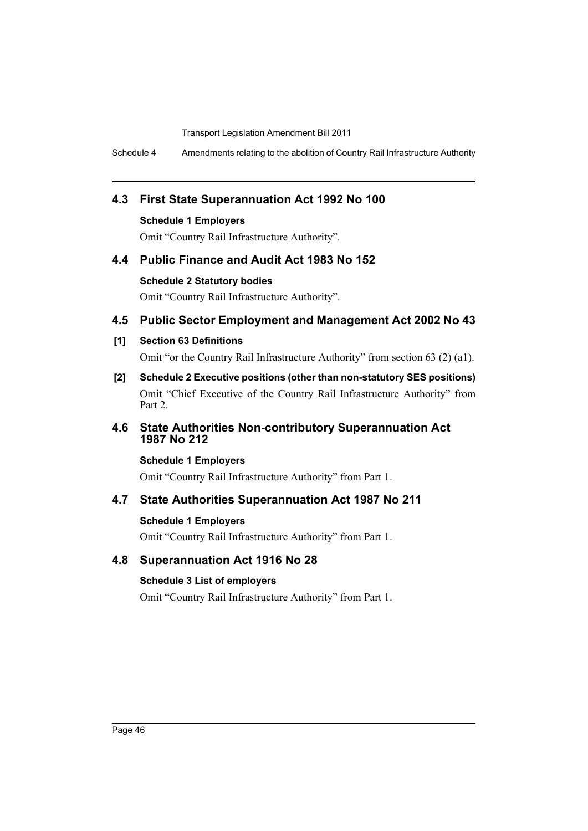Schedule 4 Amendments relating to the abolition of Country Rail Infrastructure Authority

# **4.3 First State Superannuation Act 1992 No 100**

**Schedule 1 Employers**

Omit "Country Rail Infrastructure Authority".

# **4.4 Public Finance and Audit Act 1983 No 152**

#### **Schedule 2 Statutory bodies**

Omit "Country Rail Infrastructure Authority".

# **4.5 Public Sector Employment and Management Act 2002 No 43**

## **[1] Section 63 Definitions**

Omit "or the Country Rail Infrastructure Authority" from section 63 (2) (a1).

**[2] Schedule 2 Executive positions (other than non-statutory SES positions)** Omit "Chief Executive of the Country Rail Infrastructure Authority" from Part 2.

# **4.6 State Authorities Non-contributory Superannuation Act 1987 No 212**

#### **Schedule 1 Employers**

Omit "Country Rail Infrastructure Authority" from Part 1.

# **4.7 State Authorities Superannuation Act 1987 No 211**

# **Schedule 1 Employers**

Omit "Country Rail Infrastructure Authority" from Part 1.

# **4.8 Superannuation Act 1916 No 28**

# **Schedule 3 List of employers**

Omit "Country Rail Infrastructure Authority" from Part 1.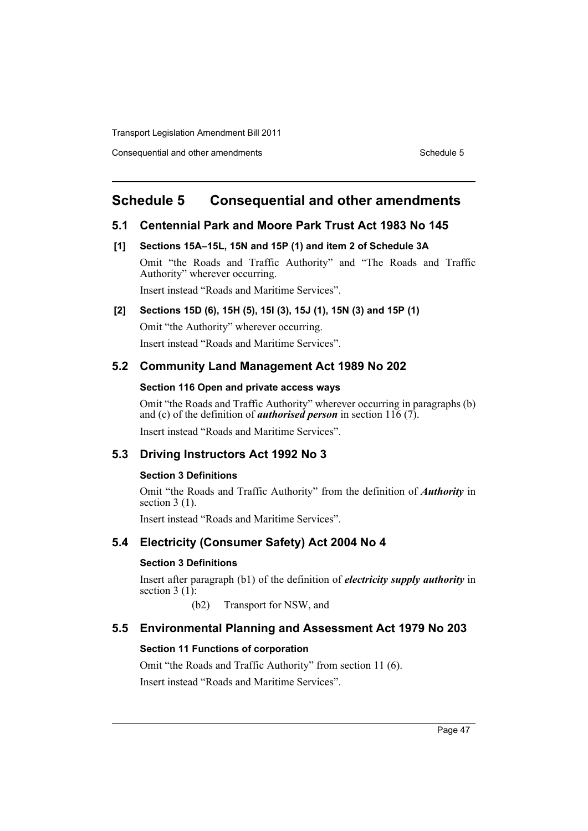Consequential and other amendments Schedule 5 Schedule 5

# **Schedule 5 Consequential and other amendments**

## **5.1 Centennial Park and Moore Park Trust Act 1983 No 145**

#### **[1] Sections 15A–15L, 15N and 15P (1) and item 2 of Schedule 3A**

Omit "the Roads and Traffic Authority" and "The Roads and Traffic Authority" wherever occurring.

Insert instead "Roads and Maritime Services".

# **[2] Sections 15D (6), 15H (5), 15I (3), 15J (1), 15N (3) and 15P (1)**

Omit "the Authority" wherever occurring. Insert instead "Roads and Maritime Services".

# **5.2 Community Land Management Act 1989 No 202**

#### **Section 116 Open and private access ways**

Omit "the Roads and Traffic Authority" wherever occurring in paragraphs (b) and (c) of the definition of *authorised person* in section 116 (7).

Insert instead "Roads and Maritime Services".

#### **5.3 Driving Instructors Act 1992 No 3**

#### **Section 3 Definitions**

Omit "the Roads and Traffic Authority" from the definition of *Authority* in section 3 (1).

Insert instead "Roads and Maritime Services".

# **5.4 Electricity (Consumer Safety) Act 2004 No 4**

#### **Section 3 Definitions**

Insert after paragraph (b1) of the definition of *electricity supply authority* in section  $3(1)$ :

(b2) Transport for NSW, and

# **5.5 Environmental Planning and Assessment Act 1979 No 203**

#### **Section 11 Functions of corporation**

Omit "the Roads and Traffic Authority" from section 11 (6). Insert instead "Roads and Maritime Services".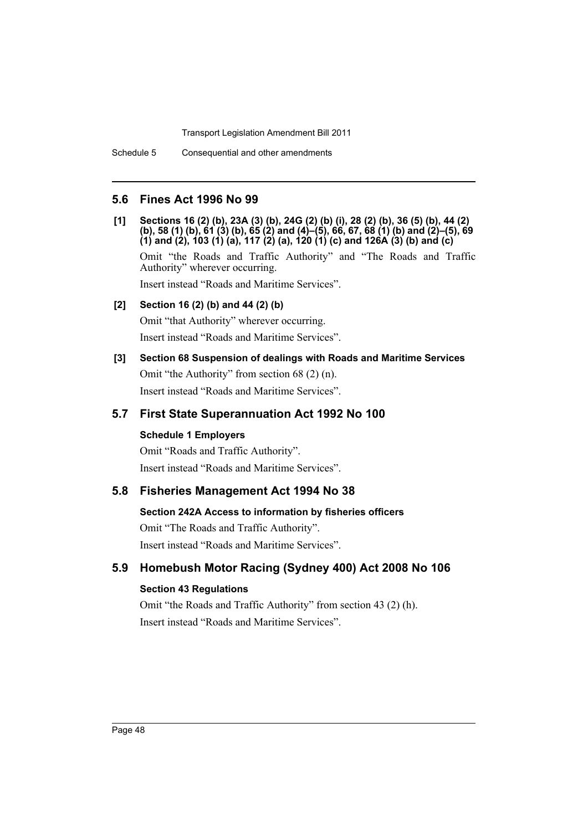## **5.6 Fines Act 1996 No 99**

**[1] Sections 16 (2) (b), 23A (3) (b), 24G (2) (b) (i), 28 (2) (b), 36 (5) (b), 44 (2) (b), 58 (1) (b), 61 (3) (b), 65 (2) and (4)–(5), 66, 67, 68 (1) (b) and (2)–(5), 69 (1) and (2), 103 (1) (a), 117 (2) (a), 120 (1) (c) and 126A (3) (b) and (c)** 

Omit "the Roads and Traffic Authority" and "The Roads and Traffic Authority" wherever occurring.

Insert instead "Roads and Maritime Services".

#### **[2] Section 16 (2) (b) and 44 (2) (b)**

Omit "that Authority" wherever occurring. Insert instead "Roads and Maritime Services".

#### **[3] Section 68 Suspension of dealings with Roads and Maritime Services**

Omit "the Authority" from section 68 (2) (n). Insert instead "Roads and Maritime Services".

### **5.7 First State Superannuation Act 1992 No 100**

#### **Schedule 1 Employers**

Omit "Roads and Traffic Authority". Insert instead "Roads and Maritime Services".

## **5.8 Fisheries Management Act 1994 No 38**

#### **Section 242A Access to information by fisheries officers**

Omit "The Roads and Traffic Authority". Insert instead "Roads and Maritime Services".

# **5.9 Homebush Motor Racing (Sydney 400) Act 2008 No 106**

## **Section 43 Regulations**

Omit "the Roads and Traffic Authority" from section 43 (2) (h). Insert instead "Roads and Maritime Services".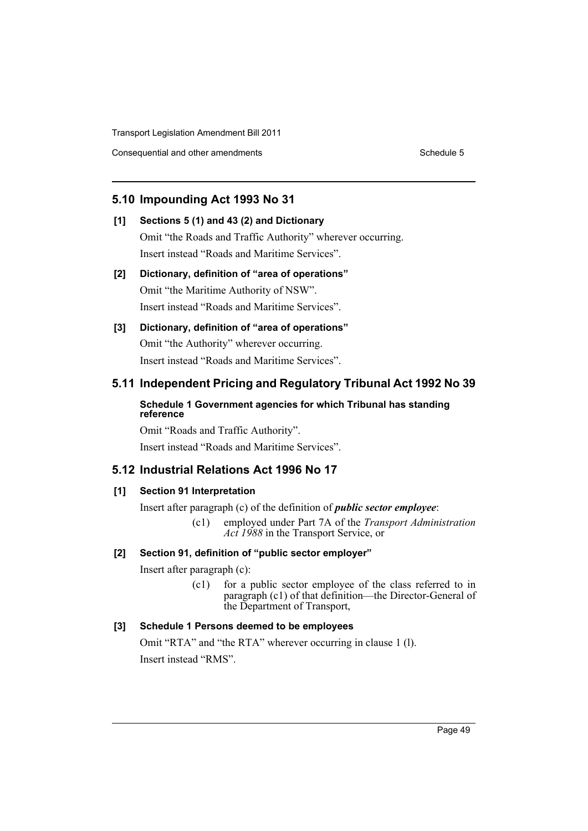Consequential and other amendments Schedule 5 Schedule 5

# **5.10 Impounding Act 1993 No 31**

# **[1] Sections 5 (1) and 43 (2) and Dictionary**

Omit "the Roads and Traffic Authority" wherever occurring. Insert instead "Roads and Maritime Services".

# **[2] Dictionary, definition of "area of operations"** Omit "the Maritime Authority of NSW".

Insert instead "Roads and Maritime Services".

# **[3] Dictionary, definition of "area of operations"** Omit "the Authority" wherever occurring.

Insert instead "Roads and Maritime Services".

# **5.11 Independent Pricing and Regulatory Tribunal Act 1992 No 39**

## **Schedule 1 Government agencies for which Tribunal has standing reference**

Omit "Roads and Traffic Authority". Insert instead "Roads and Maritime Services".

# **5.12 Industrial Relations Act 1996 No 17**

# **[1] Section 91 Interpretation**

Insert after paragraph (c) of the definition of *public sector employee*:

(c1) employed under Part 7A of the *Transport Administration Act 1988* in the Transport Service, or

# **[2] Section 91, definition of "public sector employer"**

Insert after paragraph (c):

(c1) for a public sector employee of the class referred to in paragraph (c1) of that definition—the Director-General of the Department of Transport,

# **[3] Schedule 1 Persons deemed to be employees**

Omit "RTA" and "the RTA" wherever occurring in clause 1 (l). Insert instead "RMS".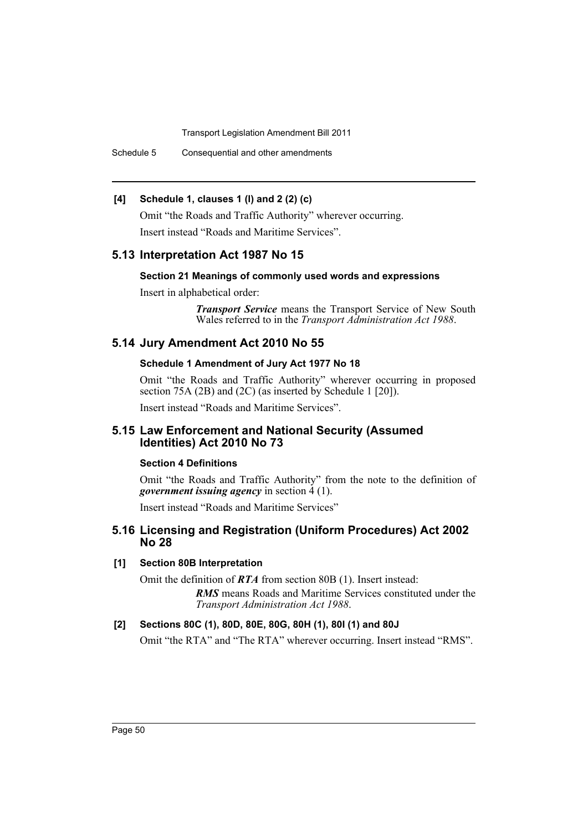Schedule 5 Consequential and other amendments

### **[4] Schedule 1, clauses 1 (l) and 2 (2) (c)**

Omit "the Roads and Traffic Authority" wherever occurring. Insert instead "Roads and Maritime Services".

#### **5.13 Interpretation Act 1987 No 15**

#### **Section 21 Meanings of commonly used words and expressions**

Insert in alphabetical order:

*Transport Service* means the Transport Service of New South Wales referred to in the *Transport Administration Act 1988*.

# **5.14 Jury Amendment Act 2010 No 55**

#### **Schedule 1 Amendment of Jury Act 1977 No 18**

Omit "the Roads and Traffic Authority" wherever occurring in proposed section 75A (2B) and (2C) (as inserted by Schedule 1 [20]).

Insert instead "Roads and Maritime Services".

#### **5.15 Law Enforcement and National Security (Assumed Identities) Act 2010 No 73**

#### **Section 4 Definitions**

Omit "the Roads and Traffic Authority" from the note to the definition of *government issuing agency* in section 4 (1).

Insert instead "Roads and Maritime Services"

#### **5.16 Licensing and Registration (Uniform Procedures) Act 2002 No 28**

#### **[1] Section 80B Interpretation**

Omit the definition of *RTA* from section 80B (1). Insert instead:

*RMS* means Roads and Maritime Services constituted under the *Transport Administration Act 1988*.

#### **[2] Sections 80C (1), 80D, 80E, 80G, 80H (1), 80I (1) and 80J**

Omit "the RTA" and "The RTA" wherever occurring. Insert instead "RMS".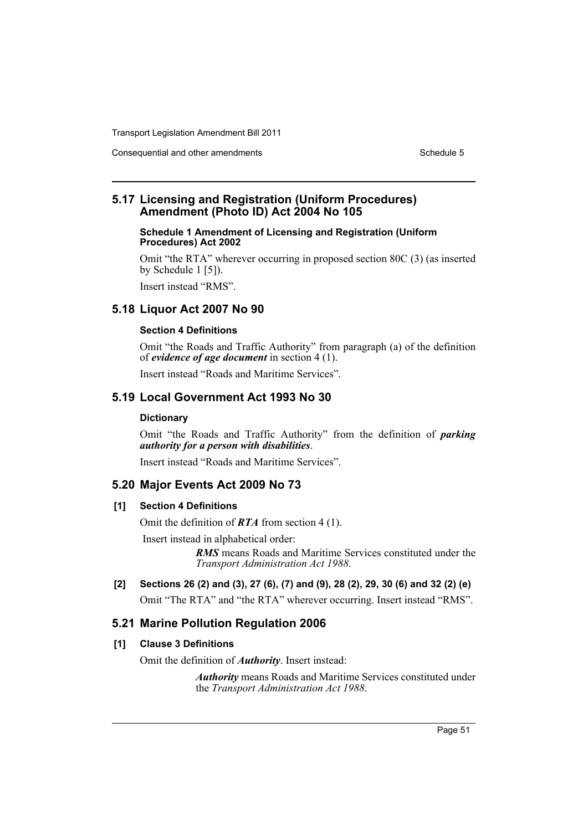Consequential and other amendments Schedule 5

# **5.17 Licensing and Registration (Uniform Procedures) Amendment (Photo ID) Act 2004 No 105**

#### **Schedule 1 Amendment of Licensing and Registration (Uniform Procedures) Act 2002**

Omit "the RTA" wherever occurring in proposed section 80C (3) (as inserted by Schedule 1 [5]).

Insert instead "RMS".

# **5.18 Liquor Act 2007 No 90**

#### **Section 4 Definitions**

Omit "the Roads and Traffic Authority" from paragraph (a) of the definition of *evidence of age document* in section 4 (1).

Insert instead "Roads and Maritime Services".

# **5.19 Local Government Act 1993 No 30**

#### **Dictionary**

Omit "the Roads and Traffic Authority" from the definition of *parking authority for a person with disabilities*.

Insert instead "Roads and Maritime Services".

#### **5.20 Major Events Act 2009 No 73**

#### **[1] Section 4 Definitions**

Omit the definition of *RTA* from section 4 (1).

Insert instead in alphabetical order:

*RMS* means Roads and Maritime Services constituted under the *Transport Administration Act 1988*.

**[2] Sections 26 (2) and (3), 27 (6), (7) and (9), 28 (2), 29, 30 (6) and 32 (2) (e)**  Omit "The RTA" and "the RTA" wherever occurring. Insert instead "RMS".

# **5.21 Marine Pollution Regulation 2006**

#### **[1] Clause 3 Definitions**

Omit the definition of *Authority*. Insert instead:

*Authority* means Roads and Maritime Services constituted under the *Transport Administration Act 1988*.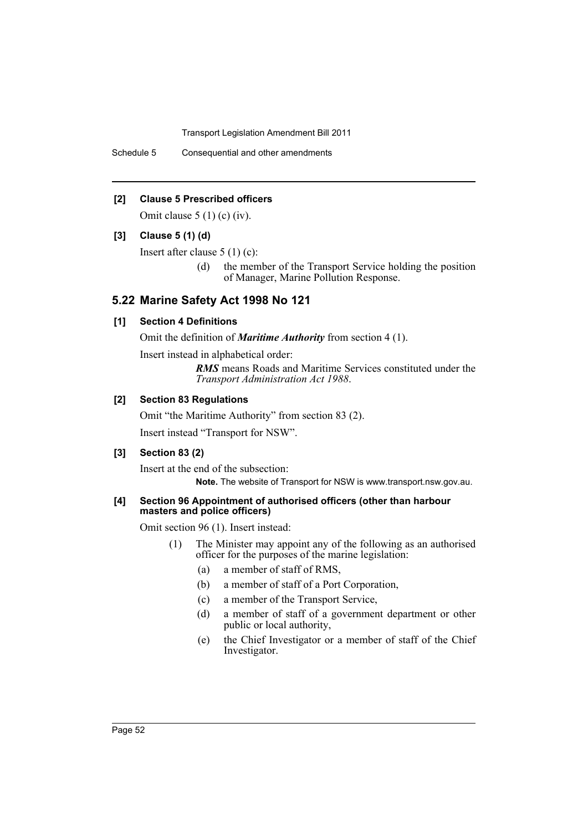Schedule 5 Consequential and other amendments

#### **[2] Clause 5 Prescribed officers**

Omit clause  $5(1)$  (c) (iv).

#### **[3] Clause 5 (1) (d)**

Insert after clause 5 (1) (c):

(d) the member of the Transport Service holding the position of Manager, Marine Pollution Response.

## **5.22 Marine Safety Act 1998 No 121**

#### **[1] Section 4 Definitions**

Omit the definition of *Maritime Authority* from section 4 (1).

Insert instead in alphabetical order:

*RMS* means Roads and Maritime Services constituted under the *Transport Administration Act 1988*.

#### **[2] Section 83 Regulations**

Omit "the Maritime Authority" from section 83 (2). Insert instead "Transport for NSW".

#### **[3] Section 83 (2)**

Insert at the end of the subsection: **Note.** The website of Transport for NSW is www.transport.nsw.gov.au.

#### **[4] Section 96 Appointment of authorised officers (other than harbour masters and police officers)**

Omit section 96 (1). Insert instead:

- (1) The Minister may appoint any of the following as an authorised officer for the purposes of the marine legislation:
	- (a) a member of staff of RMS,
	- (b) a member of staff of a Port Corporation,
	- (c) a member of the Transport Service,
	- (d) a member of staff of a government department or other public or local authority,
	- (e) the Chief Investigator or a member of staff of the Chief Investigator.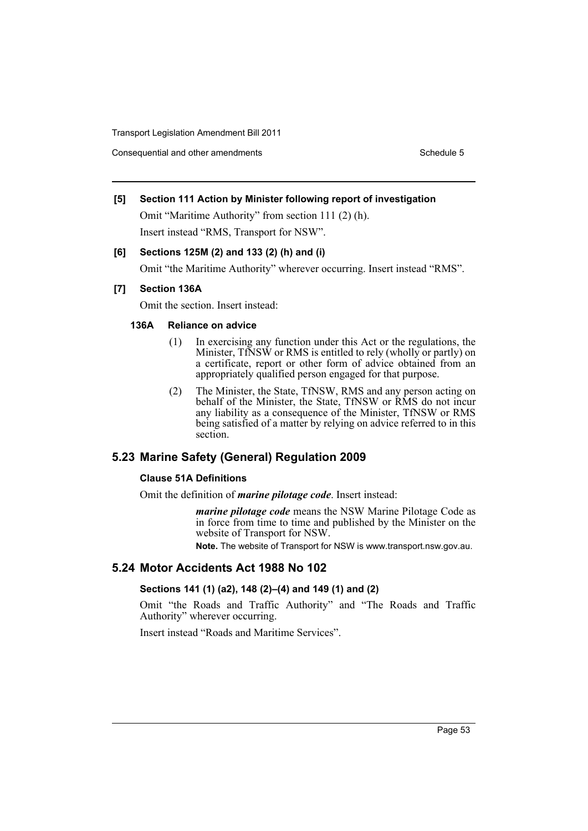Consequential and other amendments Schedule 5 Schedule 5

#### **[5] Section 111 Action by Minister following report of investigation**

Omit "Maritime Authority" from section 111 (2) (h). Insert instead "RMS, Transport for NSW".

#### **[6] Sections 125M (2) and 133 (2) (h) and (i)**

Omit "the Maritime Authority" wherever occurring. Insert instead "RMS".

#### **[7] Section 136A**

Omit the section. Insert instead:

#### **136A Reliance on advice**

- (1) In exercising any function under this Act or the regulations, the Minister, TfNSW or RMS is entitled to rely (wholly or partly) on a certificate, report or other form of advice obtained from an appropriately qualified person engaged for that purpose.
- (2) The Minister, the State, TfNSW, RMS and any person acting on behalf of the Minister, the State, TfNSW or RMS do not incur any liability as a consequence of the Minister, TfNSW or RMS being satisfied of a matter by relying on advice referred to in this section.

# **5.23 Marine Safety (General) Regulation 2009**

#### **Clause 51A Definitions**

Omit the definition of *marine pilotage code*. Insert instead:

*marine pilotage code* means the NSW Marine Pilotage Code as in force from time to time and published by the Minister on the website of Transport for NSW.

**Note.** The website of Transport for NSW is www.transport.nsw.gov.au.

#### **5.24 Motor Accidents Act 1988 No 102**

## **Sections 141 (1) (a2), 148 (2)–(4) and 149 (1) and (2)**

Omit "the Roads and Traffic Authority" and "The Roads and Traffic Authority" wherever occurring.

Insert instead "Roads and Maritime Services".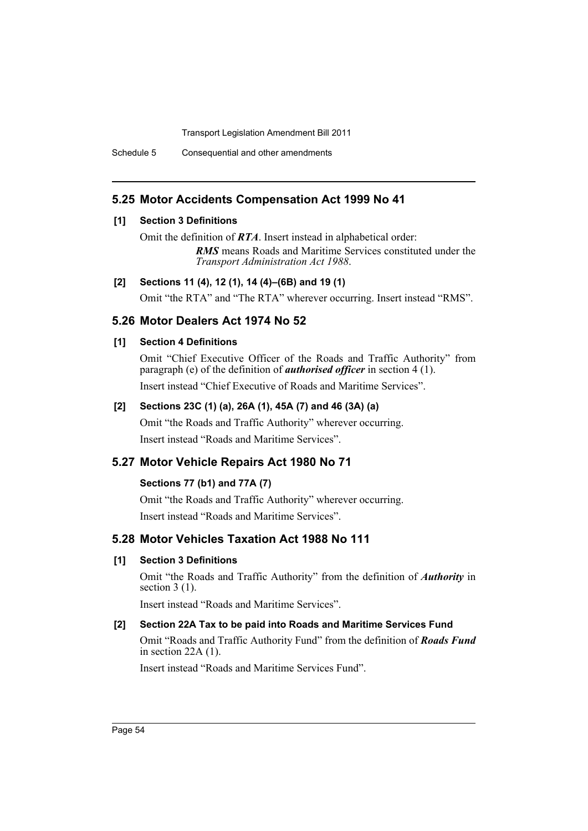Schedule 5 Consequential and other amendments

# **5.25 Motor Accidents Compensation Act 1999 No 41**

#### **[1] Section 3 Definitions**

Omit the definition of *RTA*. Insert instead in alphabetical order:

*RMS* means Roads and Maritime Services constituted under the *Transport Administration Act 1988*.

## **[2] Sections 11 (4), 12 (1), 14 (4)–(6B) and 19 (1)**

Omit "the RTA" and "The RTA" wherever occurring. Insert instead "RMS".

# **5.26 Motor Dealers Act 1974 No 52**

## **[1] Section 4 Definitions**

Omit "Chief Executive Officer of the Roads and Traffic Authority" from paragraph (e) of the definition of *authorised officer* in section 4 (1). Insert instead "Chief Executive of Roads and Maritime Services".

# **[2] Sections 23C (1) (a), 26A (1), 45A (7) and 46 (3A) (a)**

Omit "the Roads and Traffic Authority" wherever occurring. Insert instead "Roads and Maritime Services".

# **5.27 Motor Vehicle Repairs Act 1980 No 71**

# **Sections 77 (b1) and 77A (7)**

Omit "the Roads and Traffic Authority" wherever occurring. Insert instead "Roads and Maritime Services".

# **5.28 Motor Vehicles Taxation Act 1988 No 111**

# **[1] Section 3 Definitions**

Omit "the Roads and Traffic Authority" from the definition of *Authority* in section 3 (1).

Insert instead "Roads and Maritime Services".

# **[2] Section 22A Tax to be paid into Roads and Maritime Services Fund**

Omit "Roads and Traffic Authority Fund" from the definition of *Roads Fund* in section 22A (1).

Insert instead "Roads and Maritime Services Fund".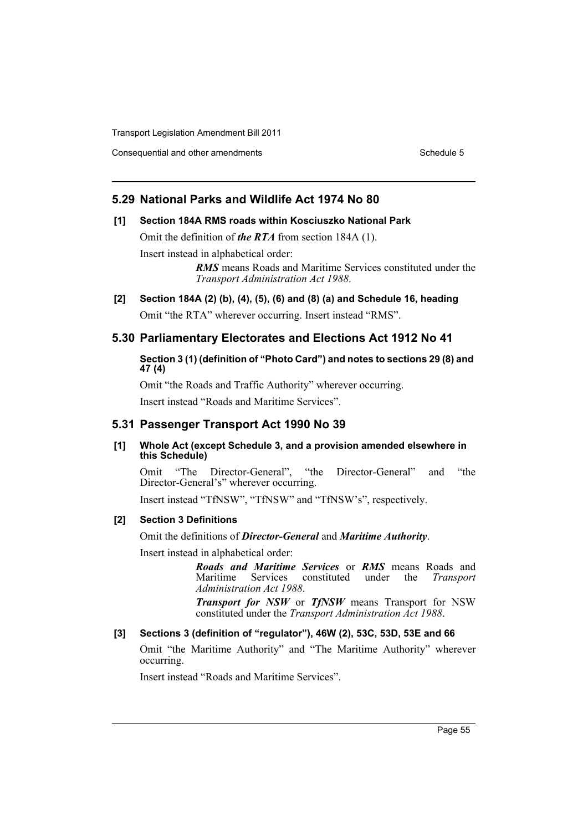Consequential and other amendments Schedule 5

# **5.29 National Parks and Wildlife Act 1974 No 80**

# **[1] Section 184A RMS roads within Kosciuszko National Park**

Omit the definition of *the RTA* from section 184A (1).

Insert instead in alphabetical order:

*RMS* means Roads and Maritime Services constituted under the *Transport Administration Act 1988*.

**[2] Section 184A (2) (b), (4), (5), (6) and (8) (a) and Schedule 16, heading** Omit "the RTA" wherever occurring. Insert instead "RMS".

# **5.30 Parliamentary Electorates and Elections Act 1912 No 41**

**Section 3 (1) (definition of "Photo Card") and notes to sections 29 (8) and 47 (4)**

Omit "the Roads and Traffic Authority" wherever occurring.

Insert instead "Roads and Maritime Services".

# **5.31 Passenger Transport Act 1990 No 39**

#### **[1] Whole Act (except Schedule 3, and a provision amended elsewhere in this Schedule)**

Omit "The Director-General", "the Director-General" and "the Director-General's" wherever occurring.

Insert instead "TfNSW", "TfNSW" and "TfNSW's", respectively.

#### **[2] Section 3 Definitions**

Omit the definitions of *Director-General* and *Maritime Authority*.

Insert instead in alphabetical order:

*Roads and Maritime Services* or *RMS* means Roads and Services constituted under the *Transport Administration Act 1988*.

*Transport for NSW* or *TfNSW* means Transport for NSW constituted under the *Transport Administration Act 1988*.

## **[3] Sections 3 (definition of "regulator"), 46W (2), 53C, 53D, 53E and 66**

Omit "the Maritime Authority" and "The Maritime Authority" wherever occurring.

Insert instead "Roads and Maritime Services".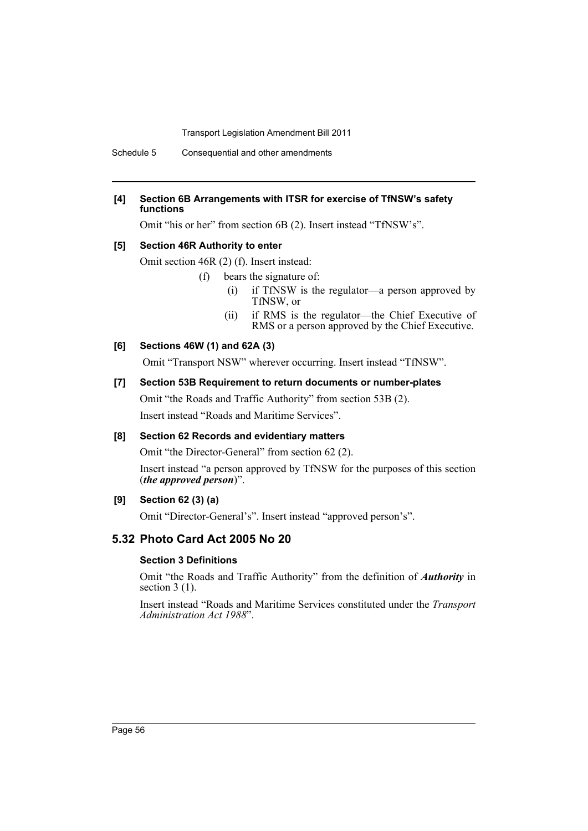Schedule 5 Consequential and other amendments

#### **[4] Section 6B Arrangements with ITSR for exercise of TfNSW's safety functions**

Omit "his or her" from section 6B (2). Insert instead "TfNSW's".

#### **[5] Section 46R Authority to enter**

Omit section 46R (2) (f). Insert instead:

- (f) bears the signature of:
	- (i) if TfNSW is the regulator—a person approved by TfNSW, or
	- (ii) if RMS is the regulator—the Chief Executive of RMS or a person approved by the Chief Executive.

#### **[6] Sections 46W (1) and 62A (3)**

Omit "Transport NSW" wherever occurring. Insert instead "TfNSW".

#### **[7] Section 53B Requirement to return documents or number-plates**

Omit "the Roads and Traffic Authority" from section 53B (2).

Insert instead "Roads and Maritime Services".

#### **[8] Section 62 Records and evidentiary matters**

Omit "the Director-General" from section 62 (2).

Insert instead "a person approved by TfNSW for the purposes of this section (*the approved person*)".

#### **[9] Section 62 (3) (a)**

Omit "Director-General's". Insert instead "approved person's".

# **5.32 Photo Card Act 2005 No 20**

#### **Section 3 Definitions**

Omit "the Roads and Traffic Authority" from the definition of *Authority* in section 3 (1).

Insert instead "Roads and Maritime Services constituted under the *Transport Administration Act 1988*".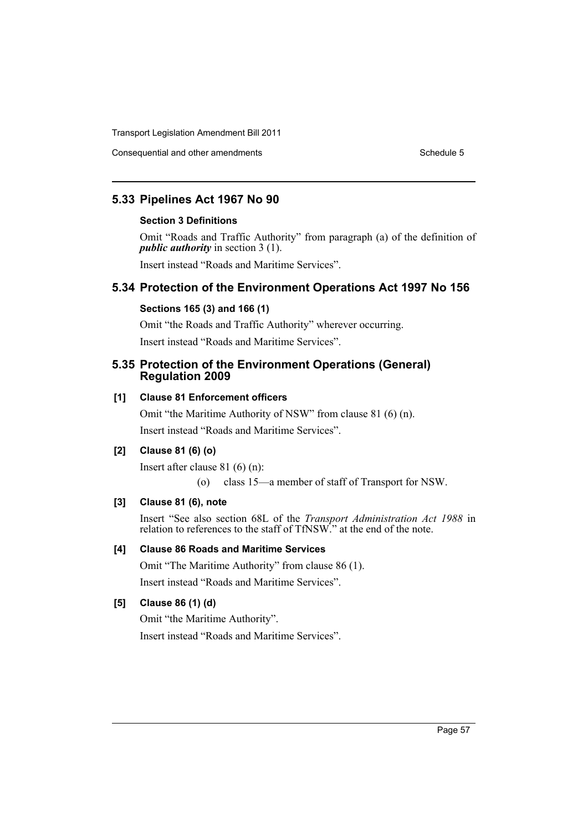Consequential and other amendments Schedule 5

# **5.33 Pipelines Act 1967 No 90**

#### **Section 3 Definitions**

Omit "Roads and Traffic Authority" from paragraph (a) of the definition of *public authority* in section 3 (1).

Insert instead "Roads and Maritime Services".

# **5.34 Protection of the Environment Operations Act 1997 No 156**

# **Sections 165 (3) and 166 (1)**

Omit "the Roads and Traffic Authority" wherever occurring. Insert instead "Roads and Maritime Services".

#### **5.35 Protection of the Environment Operations (General) Regulation 2009**

## **[1] Clause 81 Enforcement officers**

Omit "the Maritime Authority of NSW" from clause 81 (6) (n). Insert instead "Roads and Maritime Services".

## **[2] Clause 81 (6) (o)**

Insert after clause 81 (6) (n):

(o) class 15—a member of staff of Transport for NSW.

## **[3] Clause 81 (6), note**

Insert "See also section 68L of the *Transport Administration Act 1988* in relation to references to the staff of TfNSW." at the end of the note.

# **[4] Clause 86 Roads and Maritime Services**

Omit "The Maritime Authority" from clause 86 (1).

Insert instead "Roads and Maritime Services".

#### **[5] Clause 86 (1) (d)**

Omit "the Maritime Authority". Insert instead "Roads and Maritime Services".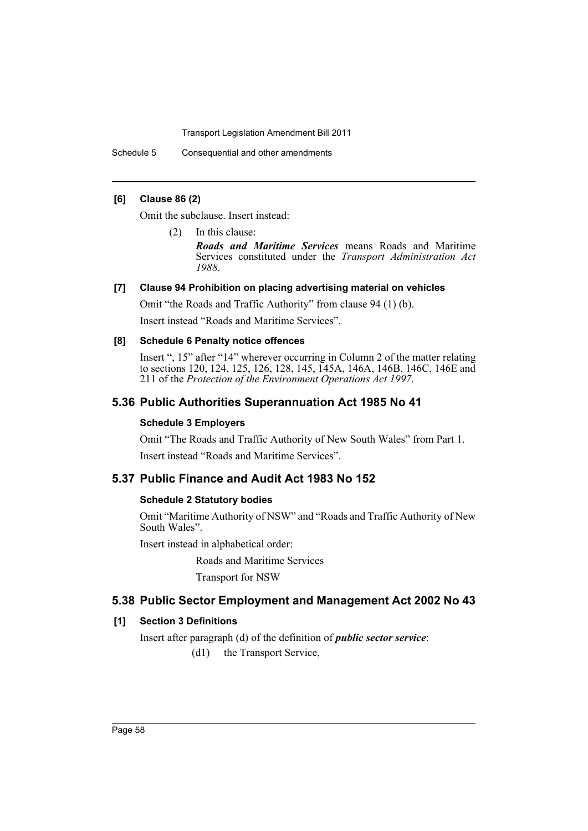Schedule 5 Consequential and other amendments

#### **[6] Clause 86 (2)**

Omit the subclause. Insert instead:

(2) In this clause:

*Roads and Maritime Services* means Roads and Maritime Services constituted under the *Transport Administration Act 1988*.

#### **[7] Clause 94 Prohibition on placing advertising material on vehicles**

Omit "the Roads and Traffic Authority" from clause 94 (1) (b).

Insert instead "Roads and Maritime Services".

#### **[8] Schedule 6 Penalty notice offences**

Insert ", 15" after "14" wherever occurring in Column 2 of the matter relating to sections 120, 124, 125, 126, 128, 145, 145A, 146A, 146B, 146C, 146E and 211 of the *Protection of the Environment Operations Act 1997*.

## **5.36 Public Authorities Superannuation Act 1985 No 41**

#### **Schedule 3 Employers**

Omit "The Roads and Traffic Authority of New South Wales" from Part 1. Insert instead "Roads and Maritime Services".

# **5.37 Public Finance and Audit Act 1983 No 152**

#### **Schedule 2 Statutory bodies**

Omit "Maritime Authority of NSW" and "Roads and Traffic Authority of New South Wales".

Insert instead in alphabetical order:

Roads and Maritime Services

Transport for NSW

# **5.38 Public Sector Employment and Management Act 2002 No 43**

### **[1] Section 3 Definitions**

Insert after paragraph (d) of the definition of *public sector service*: (d1) the Transport Service,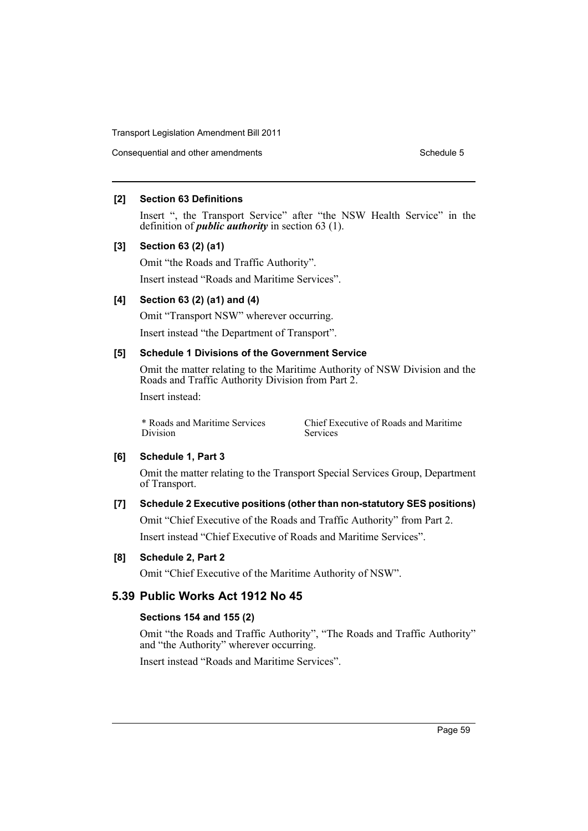Consequential and other amendments Schedule 5

#### **[2] Section 63 Definitions**

Insert ", the Transport Service" after "the NSW Health Service" in the definition of *public authority* in section 63 (1).

#### **[3] Section 63 (2) (a1)**

Omit "the Roads and Traffic Authority". Insert instead "Roads and Maritime Services".

#### **[4] Section 63 (2) (a1) and (4)**

Omit "Transport NSW" wherever occurring.

Insert instead "the Department of Transport".

## **[5] Schedule 1 Divisions of the Government Service**

Omit the matter relating to the Maritime Authority of NSW Division and the Roads and Traffic Authority Division from Part 2. Insert instead:

\* Roads and Maritime Services Division

Chief Executive of Roads and Maritime Services

#### **[6] Schedule 1, Part 3**

Omit the matter relating to the Transport Special Services Group, Department of Transport.

# **[7] Schedule 2 Executive positions (other than non-statutory SES positions)** Omit "Chief Executive of the Roads and Traffic Authority" from Part 2. Insert instead "Chief Executive of Roads and Maritime Services".

#### **[8] Schedule 2, Part 2**

Omit "Chief Executive of the Maritime Authority of NSW".

## **5.39 Public Works Act 1912 No 45**

#### **Sections 154 and 155 (2)**

Omit "the Roads and Traffic Authority", "The Roads and Traffic Authority" and "the Authority" wherever occurring.

Insert instead "Roads and Maritime Services".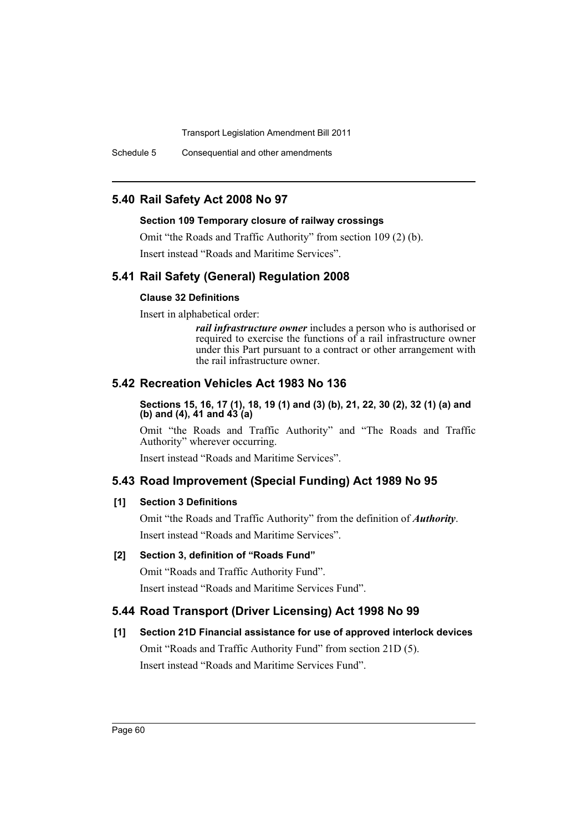Schedule 5 Consequential and other amendments

# **5.40 Rail Safety Act 2008 No 97**

#### **Section 109 Temporary closure of railway crossings**

Omit "the Roads and Traffic Authority" from section 109 (2) (b). Insert instead "Roads and Maritime Services".

# **5.41 Rail Safety (General) Regulation 2008**

#### **Clause 32 Definitions**

Insert in alphabetical order:

*rail infrastructure owner* includes a person who is authorised or required to exercise the functions of a rail infrastructure owner under this Part pursuant to a contract or other arrangement with the rail infrastructure owner.

# **5.42 Recreation Vehicles Act 1983 No 136**

**Sections 15, 16, 17 (1), 18, 19 (1) and (3) (b), 21, 22, 30 (2), 32 (1) (a) and (b) and (4), 41 and 43 (a)** 

Omit "the Roads and Traffic Authority" and "The Roads and Traffic Authority" wherever occurring.

Insert instead "Roads and Maritime Services".

## **5.43 Road Improvement (Special Funding) Act 1989 No 95**

#### **[1] Section 3 Definitions**

Omit "the Roads and Traffic Authority" from the definition of *Authority*. Insert instead "Roads and Maritime Services".

# **[2] Section 3, definition of "Roads Fund"**

Omit "Roads and Traffic Authority Fund". Insert instead "Roads and Maritime Services Fund".

# **5.44 Road Transport (Driver Licensing) Act 1998 No 99**

# **[1] Section 21D Financial assistance for use of approved interlock devices** Omit "Roads and Traffic Authority Fund" from section 21D (5). Insert instead "Roads and Maritime Services Fund".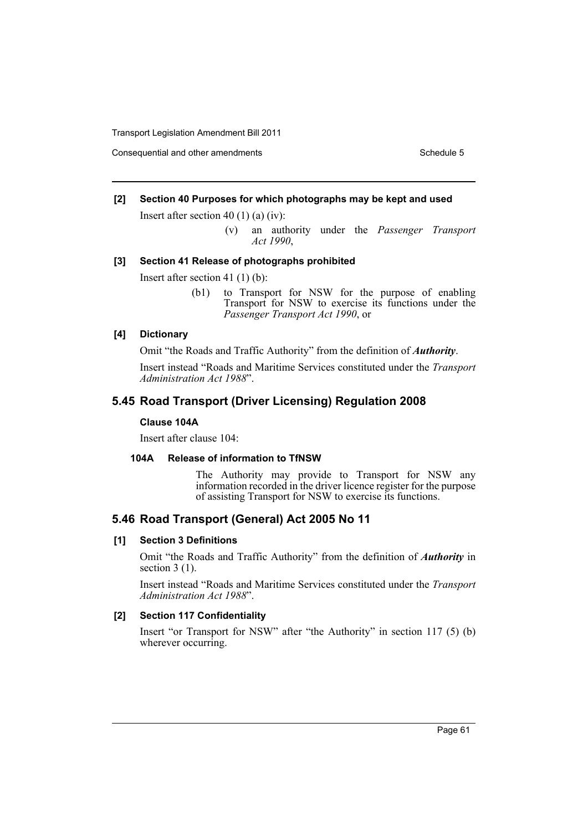Consequential and other amendments Schedule 5 Schedule 5

#### **[2] Section 40 Purposes for which photographs may be kept and used**

Insert after section 40 (1) (a) (iv):

(v) an authority under the *Passenger Transport Act 1990*,

#### **[3] Section 41 Release of photographs prohibited**

Insert after section 41 (1) (b):

(b1) to Transport for NSW for the purpose of enabling Transport for NSW to exercise its functions under the *Passenger Transport Act 1990*, or

#### **[4] Dictionary**

Omit "the Roads and Traffic Authority" from the definition of *Authority*.

Insert instead "Roads and Maritime Services constituted under the *Transport Administration Act 1988*".

## **5.45 Road Transport (Driver Licensing) Regulation 2008**

## **Clause 104A**

Insert after clause 104:

#### **104A Release of information to TfNSW**

The Authority may provide to Transport for NSW any information recorded in the driver licence register for the purpose of assisting Transport for NSW to exercise its functions.

# **5.46 Road Transport (General) Act 2005 No 11**

#### **[1] Section 3 Definitions**

Omit "the Roads and Traffic Authority" from the definition of *Authority* in section  $3(1)$ .

Insert instead "Roads and Maritime Services constituted under the *Transport Administration Act 1988*".

#### **[2] Section 117 Confidentiality**

Insert "or Transport for NSW" after "the Authority" in section 117 (5) (b) wherever occurring.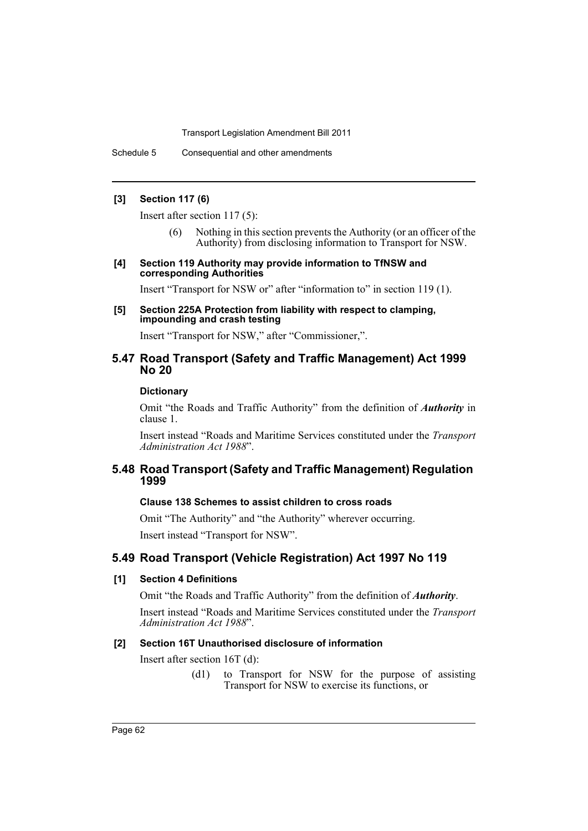Schedule 5 Consequential and other amendments

#### **[3] Section 117 (6)**

Insert after section 117 (5):

- (6) Nothing in this section prevents the Authority (or an officer of the Authority) from disclosing information to Transport for NSW.
- **[4] Section 119 Authority may provide information to TfNSW and corresponding Authorities**

Insert "Transport for NSW or" after "information to" in section 119 (1).

**[5] Section 225A Protection from liability with respect to clamping, impounding and crash testing**

Insert "Transport for NSW," after "Commissioner,".

## **5.47 Road Transport (Safety and Traffic Management) Act 1999 No 20**

#### **Dictionary**

Omit "the Roads and Traffic Authority" from the definition of *Authority* in clause 1.

Insert instead "Roads and Maritime Services constituted under the *Transport Administration Act 1988*".

## **5.48 Road Transport (Safety and Traffic Management) Regulation 1999**

#### **Clause 138 Schemes to assist children to cross roads**

Omit "The Authority" and "the Authority" wherever occurring. Insert instead "Transport for NSW".

# **5.49 Road Transport (Vehicle Registration) Act 1997 No 119**

#### **[1] Section 4 Definitions**

Omit "the Roads and Traffic Authority" from the definition of *Authority*.

Insert instead "Roads and Maritime Services constituted under the *Transport Administration Act 1988*".

# **[2] Section 16T Unauthorised disclosure of information**

Insert after section 16T (d):

(d1) to Transport for NSW for the purpose of assisting Transport for NSW to exercise its functions, or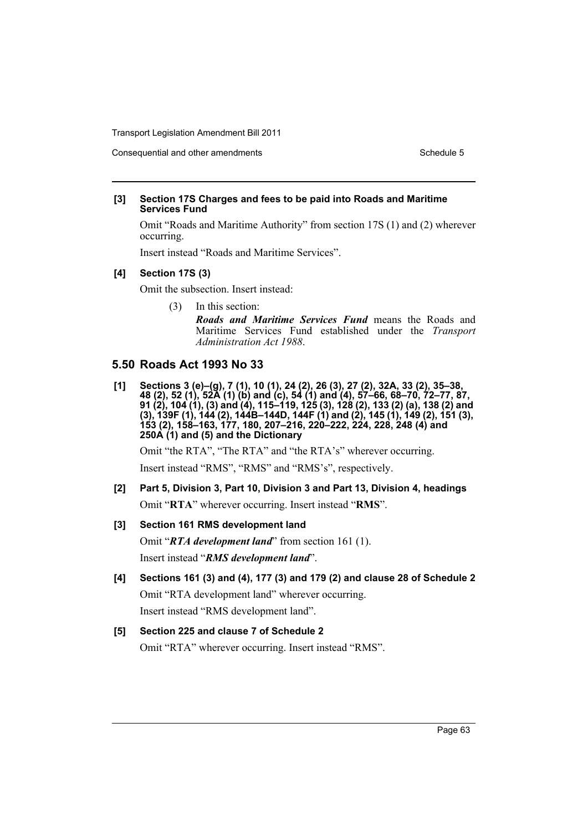#### Consequential and other amendments Schedule 5

#### **[3] Section 17S Charges and fees to be paid into Roads and Maritime Services Fund**

Omit "Roads and Maritime Authority" from section 17S (1) and (2) wherever occurring.

Insert instead "Roads and Maritime Services".

## **[4] Section 17S (3)**

Omit the subsection. Insert instead:

- (3) In this section:
	- *Roads and Maritime Services Fund* means the Roads and Maritime Services Fund established under the *Transport Administration Act 1988*.

# **5.50 Roads Act 1993 No 33**

**[1] Sections 3 (e)–(g), 7 (1), 10 (1), 24 (2), 26 (3), 27 (2), 32A, 33 (2), 35–38, 48 (2), 52 (1), 52A (1) (b) and (c), 54 (1) and (4), 57–66, 68–70, 72–77, 87, 91 (2), 104 (1), (3) and (4), 115–119, 125 (3), 128 (2), 133 (2) (a), 138 (2) and (3), 139F (1), 144 (2), 144B–144D, 144F (1) and (2), 145 (1), 149 (2), 151 (3), 153 (2), 158–163, 177, 180, 207–216, 220–222, 224, 228, 248 (4) and 250A (1) and (5) and the Dictionary** 

Omit "the RTA", "The RTA" and "the RTA's" wherever occurring.

Insert instead "RMS", "RMS" and "RMS's", respectively.

- **[2] Part 5, Division 3, Part 10, Division 3 and Part 13, Division 4, headings** Omit "**RTA**" wherever occurring. Insert instead "**RMS**".
- **[3] Section 161 RMS development land**

Omit "*RTA development land*" from section 161 (1). Insert instead "*RMS development land*".

**[4] Sections 161 (3) and (4), 177 (3) and 179 (2) and clause 28 of Schedule 2** Omit "RTA development land" wherever occurring. Insert instead "RMS development land".

# **[5] Section 225 and clause 7 of Schedule 2** Omit "RTA" wherever occurring. Insert instead "RMS".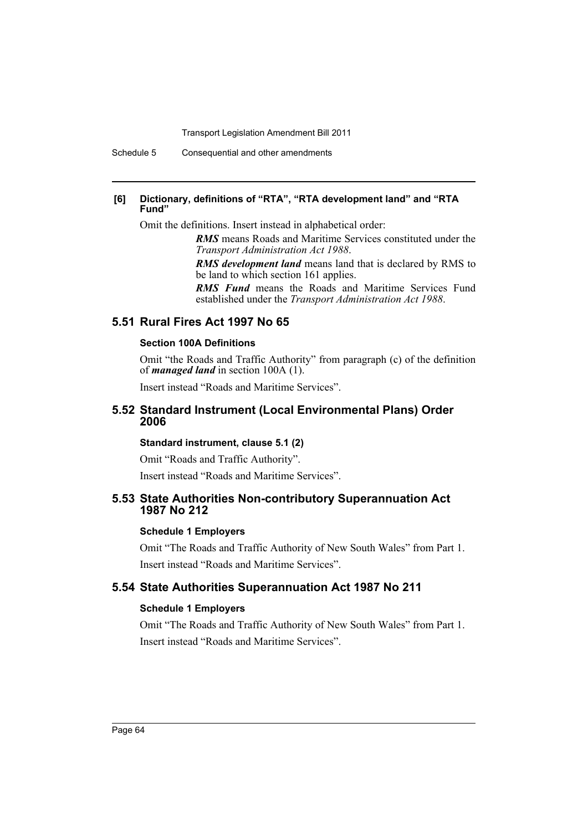Schedule 5 Consequential and other amendments

#### **[6] Dictionary, definitions of "RTA", "RTA development land" and "RTA Fund"**

Omit the definitions. Insert instead in alphabetical order:

*RMS* means Roads and Maritime Services constituted under the *Transport Administration Act 1988*.

*RMS development land* means land that is declared by RMS to be land to which section 161 applies.

*RMS Fund* means the Roads and Maritime Services Fund established under the *Transport Administration Act 1988*.

## **5.51 Rural Fires Act 1997 No 65**

#### **Section 100A Definitions**

Omit "the Roads and Traffic Authority" from paragraph (c) of the definition of *managed land* in section 100A (1).

Insert instead "Roads and Maritime Services".

#### **5.52 Standard Instrument (Local Environmental Plans) Order 2006**

#### **Standard instrument, clause 5.1 (2)**

Omit "Roads and Traffic Authority".

Insert instead "Roads and Maritime Services".

#### **5.53 State Authorities Non-contributory Superannuation Act 1987 No 212**

#### **Schedule 1 Employers**

Omit "The Roads and Traffic Authority of New South Wales" from Part 1. Insert instead "Roads and Maritime Services".

## **5.54 State Authorities Superannuation Act 1987 No 211**

#### **Schedule 1 Employers**

Omit "The Roads and Traffic Authority of New South Wales" from Part 1. Insert instead "Roads and Maritime Services".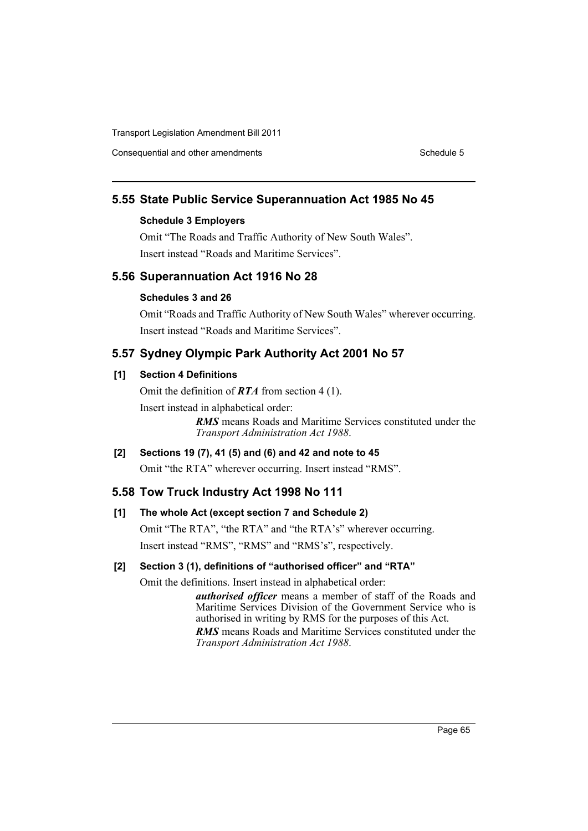Consequential and other amendments Schedule 5 Schedule 5

# **5.55 State Public Service Superannuation Act 1985 No 45**

## **Schedule 3 Employers**

Omit "The Roads and Traffic Authority of New South Wales". Insert instead "Roads and Maritime Services".

# **5.56 Superannuation Act 1916 No 28**

#### **Schedules 3 and 26**

Omit "Roads and Traffic Authority of New South Wales" wherever occurring. Insert instead "Roads and Maritime Services".

# **5.57 Sydney Olympic Park Authority Act 2001 No 57**

## **[1] Section 4 Definitions**

Omit the definition of *RTA* from section 4 (1).

Insert instead in alphabetical order:

*RMS* means Roads and Maritime Services constituted under the *Transport Administration Act 1988*.

# **[2] Sections 19 (7), 41 (5) and (6) and 42 and note to 45**

Omit "the RTA" wherever occurring. Insert instead "RMS".

#### **5.58 Tow Truck Industry Act 1998 No 111**

## **[1] The whole Act (except section 7 and Schedule 2)**

Omit "The RTA", "the RTA" and "the RTA's" wherever occurring. Insert instead "RMS", "RMS" and "RMS's", respectively.

### **[2] Section 3 (1), definitions of "authorised officer" and "RTA"**

Omit the definitions. Insert instead in alphabetical order:

*authorised officer* means a member of staff of the Roads and Maritime Services Division of the Government Service who is authorised in writing by RMS for the purposes of this Act.

*RMS* means Roads and Maritime Services constituted under the *Transport Administration Act 1988*.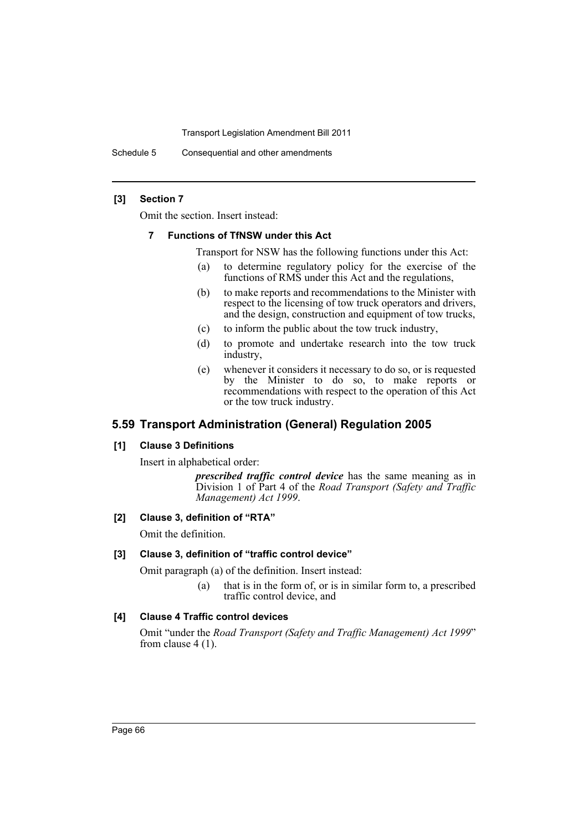Schedule 5 Consequential and other amendments

#### **[3] Section 7**

Omit the section. Insert instead:

#### **7 Functions of TfNSW under this Act**

Transport for NSW has the following functions under this Act:

- (a) to determine regulatory policy for the exercise of the functions of RMS under this Act and the regulations,
- (b) to make reports and recommendations to the Minister with respect to the licensing of tow truck operators and drivers, and the design, construction and equipment of tow trucks,
- (c) to inform the public about the tow truck industry,
- (d) to promote and undertake research into the tow truck industry,
- (e) whenever it considers it necessary to do so, or is requested by the Minister to do so, to make reports or recommendations with respect to the operation of this Act or the tow truck industry.

# **5.59 Transport Administration (General) Regulation 2005**

#### **[1] Clause 3 Definitions**

Insert in alphabetical order:

*prescribed traffic control device* has the same meaning as in Division 1 of Part 4 of the *Road Transport (Safety and Traffic Management) Act 1999*.

#### **[2] Clause 3, definition of "RTA"**

Omit the definition.

#### **[3] Clause 3, definition of "traffic control device"**

Omit paragraph (a) of the definition. Insert instead:

(a) that is in the form of, or is in similar form to, a prescribed traffic control device, and

#### **[4] Clause 4 Traffic control devices**

Omit "under the *Road Transport (Safety and Traffic Management) Act 1999*" from clause 4 (1).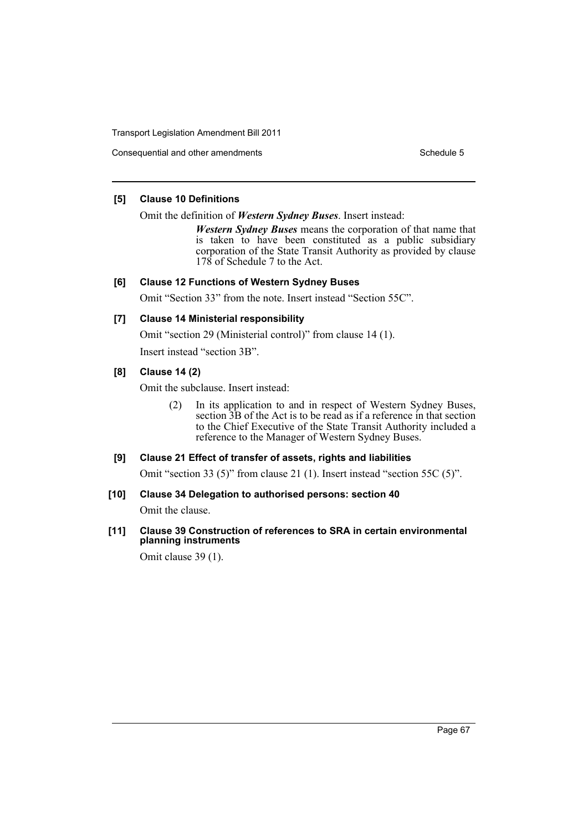Consequential and other amendments Schedule 5

#### **[5] Clause 10 Definitions**

Omit the definition of *Western Sydney Buses*. Insert instead:

*Western Sydney Buses* means the corporation of that name that is taken to have been constituted as a public subsidiary corporation of the State Transit Authority as provided by clause 178 of Schedule 7 to the Act.

# **[6] Clause 12 Functions of Western Sydney Buses**

Omit "Section 33" from the note. Insert instead "Section 55C".

# **[7] Clause 14 Ministerial responsibility**

Omit "section 29 (Ministerial control)" from clause 14 (1).

Insert instead "section 3B".

# **[8] Clause 14 (2)**

Omit the subclause. Insert instead:

(2) In its application to and in respect of Western Sydney Buses, section  $\overline{3}B$  of the Act is to be read as if a reference in that section to the Chief Executive of the State Transit Authority included a reference to the Manager of Western Sydney Buses.

# **[9] Clause 21 Effect of transfer of assets, rights and liabilities**

Omit "section 33 (5)" from clause 21 (1). Insert instead "section 55C (5)".

# **[10] Clause 34 Delegation to authorised persons: section 40**

Omit the clause.

# **[11] Clause 39 Construction of references to SRA in certain environmental planning instruments**

Omit clause 39 (1).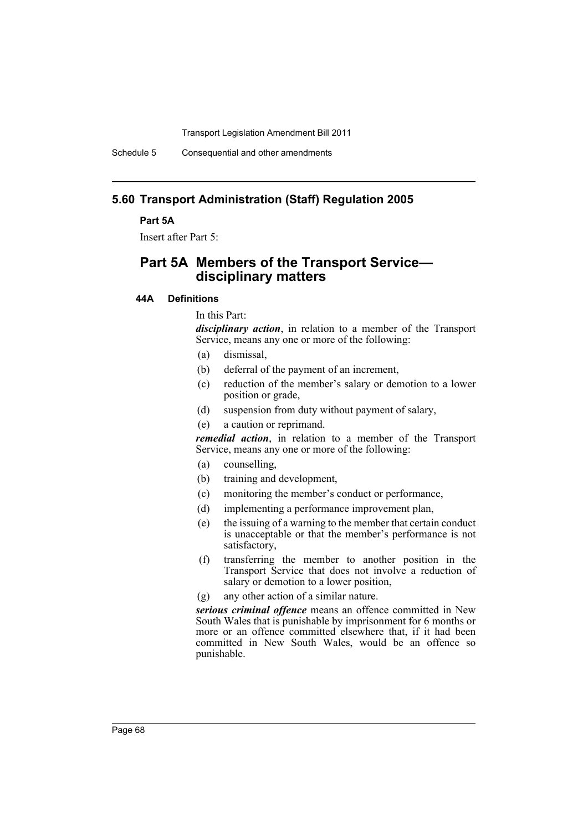Schedule 5 Consequential and other amendments

# **5.60 Transport Administration (Staff) Regulation 2005**

#### **Part 5A**

Insert after Part 5:

# **Part 5A Members of the Transport Service disciplinary matters**

## **44A Definitions**

In this Part:

*disciplinary action*, in relation to a member of the Transport Service, means any one or more of the following:

- (a) dismissal,
- (b) deferral of the payment of an increment,
- (c) reduction of the member's salary or demotion to a lower position or grade,
- (d) suspension from duty without payment of salary,
- (e) a caution or reprimand.

*remedial action*, in relation to a member of the Transport Service, means any one or more of the following:

- (a) counselling,
- (b) training and development,
- (c) monitoring the member's conduct or performance,
- (d) implementing a performance improvement plan,
- (e) the issuing of a warning to the member that certain conduct is unacceptable or that the member's performance is not satisfactory,
- (f) transferring the member to another position in the Transport Service that does not involve a reduction of salary or demotion to a lower position,

(g) any other action of a similar nature.

*serious criminal offence* means an offence committed in New South Wales that is punishable by imprisonment for 6 months or more or an offence committed elsewhere that, if it had been committed in New South Wales, would be an offence so punishable.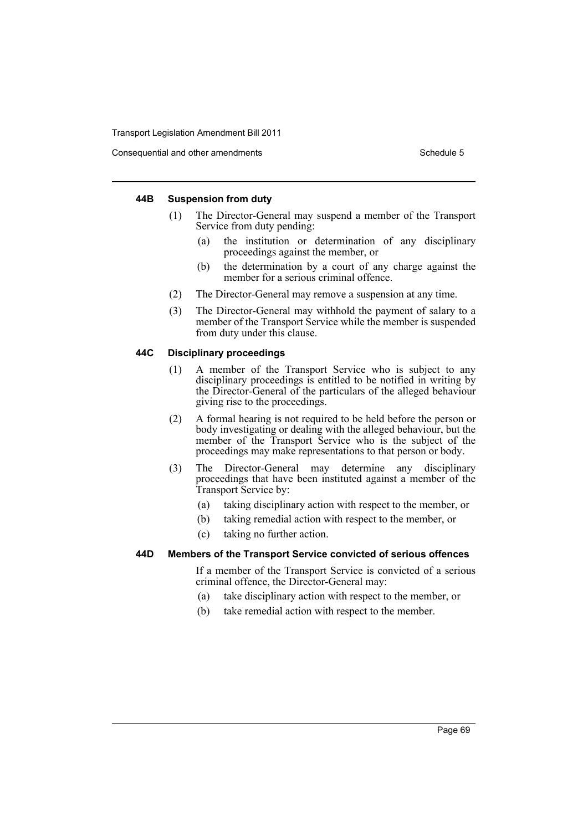Consequential and other amendments Schedule 5 Schedule 5

#### **44B Suspension from duty**

- (1) The Director-General may suspend a member of the Transport Service from duty pending:
	- (a) the institution or determination of any disciplinary proceedings against the member, or
	- (b) the determination by a court of any charge against the member for a serious criminal offence.
- (2) The Director-General may remove a suspension at any time.
- (3) The Director-General may withhold the payment of salary to a member of the Transport Service while the member is suspended from duty under this clause.

#### **44C Disciplinary proceedings**

- (1) A member of the Transport Service who is subject to any disciplinary proceedings is entitled to be notified in writing by the Director-General of the particulars of the alleged behaviour giving rise to the proceedings.
- (2) A formal hearing is not required to be held before the person or body investigating or dealing with the alleged behaviour, but the member of the Transport Service who is the subject of the proceedings may make representations to that person or body.
- (3) The Director-General may determine any disciplinary proceedings that have been instituted against a member of the Transport Service by:
	- (a) taking disciplinary action with respect to the member, or
	- (b) taking remedial action with respect to the member, or
	- (c) taking no further action.

#### **44D Members of the Transport Service convicted of serious offences**

If a member of the Transport Service is convicted of a serious criminal offence, the Director-General may:

- (a) take disciplinary action with respect to the member, or
- (b) take remedial action with respect to the member.